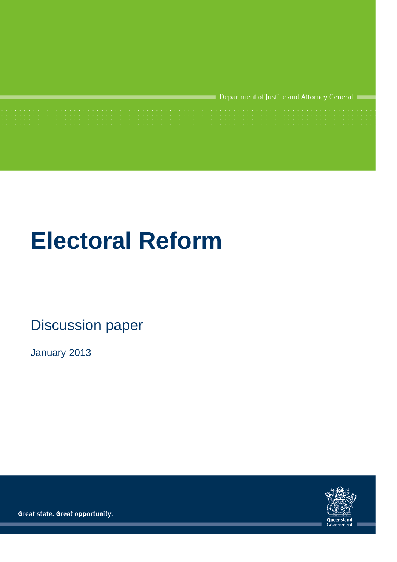Department of Justice and Attorney-General

# **Electoral Reform**

## Discussion paper

January 2013



Not Government Policy 1

<span id="page-0-0"></span>Great state. Great opportunity.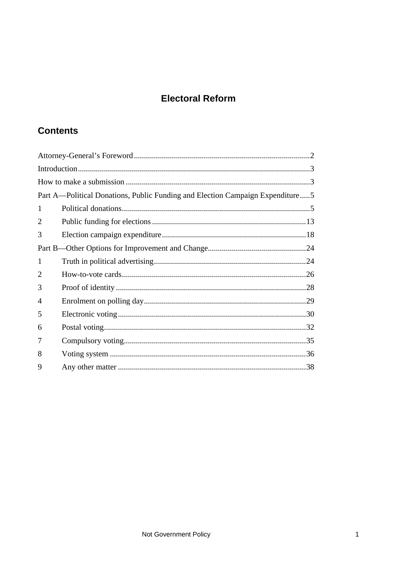## **Electoral Reform**

## **Contents**

| Part A—Political Donations, Public Funding and Election Campaign Expenditure5 |  |  |  |  |  |
|-------------------------------------------------------------------------------|--|--|--|--|--|
| 1                                                                             |  |  |  |  |  |
| 2                                                                             |  |  |  |  |  |
| 3                                                                             |  |  |  |  |  |
|                                                                               |  |  |  |  |  |
| 1                                                                             |  |  |  |  |  |
| $\mathcal{D}_{\cdot}$                                                         |  |  |  |  |  |
| 3                                                                             |  |  |  |  |  |
| 4                                                                             |  |  |  |  |  |
| 5                                                                             |  |  |  |  |  |
| 6                                                                             |  |  |  |  |  |
| 7                                                                             |  |  |  |  |  |
| 8                                                                             |  |  |  |  |  |
| 9                                                                             |  |  |  |  |  |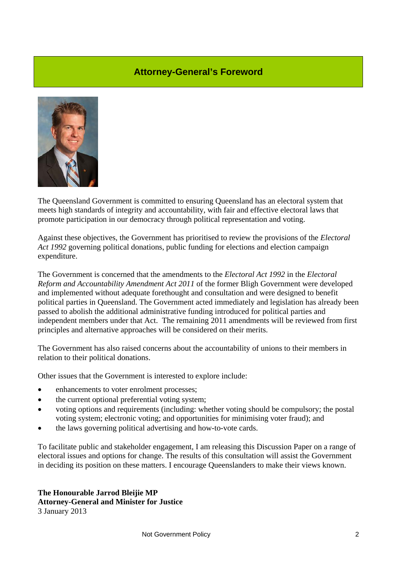#### **Attorney-General's Foreword**

<span id="page-2-0"></span>

The Queensland Government is committed to ensuring Queensland has an electoral system that meets high standards of integrity and accountability, with fair and effective electoral laws that promote participation in our democracy through political representation and voting.

Against these objectives, the Government has prioritised to review the provisions of the *Electoral Act 1992* governing political donations, public funding for elections and election campaign expenditure.

The Government is concerned that the amendments to the *Electoral Act 1992* in the *Electoral Reform and Accountability Amendment Act 2011* of the former Bligh Government were developed and implemented without adequate forethought and consultation and were designed to benefit political parties in Queensland. The Government acted immediately and legislation has already been passed to abolish the additional administrative funding introduced for political parties and independent members under that Act. The remaining 2011 amendments will be reviewed from first principles and alternative approaches will be considered on their merits.

The Government has also raised concerns about the accountability of unions to their members in relation to their political donations.

Other issues that the Government is interested to explore include:

- enhancements to voter enrolment processes;
- the current optional preferential voting system:
- voting options and requirements (including: whether voting should be compulsory; the postal voting system; electronic voting; and opportunities for minimising voter fraud); and
- the laws governing political advertising and how-to-vote cards.

To facilitate public and stakeholder engagement, I am releasing this Discussion Paper on a range of electoral issues and options for change. The results of this consultation will assist the Government in deciding its position on these matters. I encourage Queenslanders to make their views known.

**The Honourable Jarrod Bleijie MP Attorney-General and Minister for Justice**  3 January 2013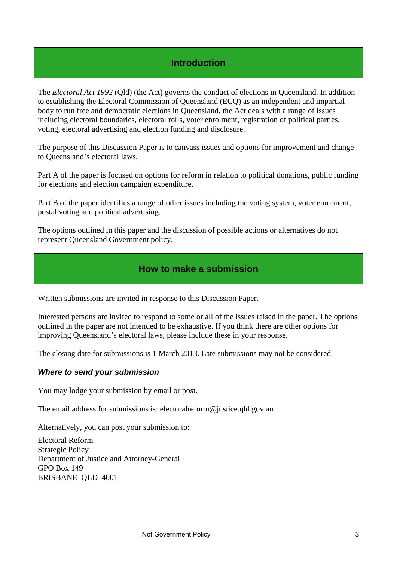## **Introduction**

<span id="page-3-0"></span>The *Electoral Act 1992* (Qld) (the Act) governs the conduct of elections in Queensland. In addition to establishing the Electoral Commission of Queensland (ECQ) as an independent and impartial body to run free and democratic elections in Queensland, the Act deals with a range of issues including electoral boundaries, electoral rolls, voter enrolment, registration of political parties, voting, electoral advertising and election funding and disclosure.

The purpose of this Discussion Paper is to canvass issues and options for improvement and change to Queensland's electoral laws.

Part A of the paper is focused on options for reform in relation to political donations, public funding for elections and election campaign expenditure.

Part B of the paper identifies a range of other issues including the voting system, voter enrolment, postal voting and political advertising.

The options outlined in this paper and the discussion of possible actions or alternatives do not represent Queensland Government policy.

#### **How to make a submission**

<span id="page-3-1"></span>Written submissions are invited in response to this Discussion Paper.

Interested persons are invited to respond to some or all of the issues raised in the paper. The options outlined in the paper are not intended to be exhaustive. If you think there are other options for improving Queensland's electoral laws, please include these in your response.

The closing date for submissions is 1 March 2013. Late submissions may not be considered.

#### *Where to send your submission*

You may lodge your submission by email or post.

The email address for submissions is: electoralreform@justice.qld.gov.au

Alternatively, you can post your submission to:

Electoral Reform Strategic Policy Department of Justice and Attorney-General GPO Box 149 BRISBANE QLD 4001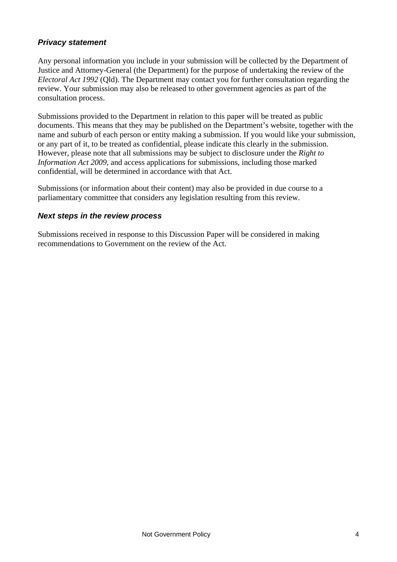#### *Privacy statement*

Any personal information you include in your submission will be collected by the Department of Justice and Attorney-General (the Department) for the purpose of undertaking the review of the *Electoral Act 1992* (Qld). The Department may contact you for further consultation regarding the review. Your submission may also be released to other government agencies as part of the consultation process.

Submissions provided to the Department in relation to this paper will be treated as public documents. This means that they may be published on the Department's website, together with the name and suburb of each person or entity making a submission. If you would like your submission, or any part of it, to be treated as confidential, please indicate this clearly in the submission. However, please note that all submissions may be subject to disclosure under the *Right to Information Act 2009*, and access applications for submissions, including those marked confidential, will be determined in accordance with that Act.

Submissions (or information about their content) may also be provided in due course to a parliamentary committee that considers any legislation resulting from this review.

#### *Next steps in the review process*

Submissions received in response to this Discussion Paper will be considered in making recommendations to Government on the review of the Act.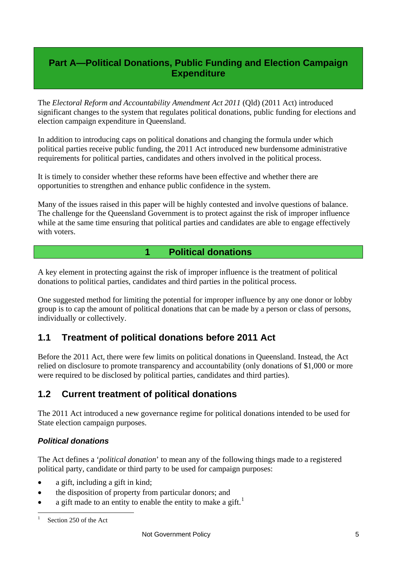## <span id="page-5-0"></span>**Part A—Political Donations, Public Funding and Election Campaign Expenditure**

The *Electoral Reform and Accountability Amendment Act 2011* (Qld) (2011 Act) introduced significant changes to the system that regulates political donations, public funding for elections and election campaign expenditure in Queensland.

In addition to introducing caps on political donations and changing the formula under which political parties receive public funding, the 2011 Act introduced new burdensome administrative requirements for political parties, candidates and others involved in the political process.

It is timely to consider whether these reforms have been effective and whether there are opportunities to strengthen and enhance public confidence in the system.

Many of the issues raised in this paper will be highly contested and involve questions of balance. The challenge for the Queensland Government is to protect against the risk of improper influence while at the same time ensuring that political parties and candidates are able to engage effectively with voters.

#### **1 Political donations**

<span id="page-5-1"></span>A key element in protecting against the risk of improper influence is the treatment of political donations to political parties, candidates and third parties in the political process.

One suggested method for limiting the potential for improper influence by any one donor or lobby group is to cap the amount of political donations that can be made by a person or class of persons, individually or collectively.

## **1.1 Treatment of political donations before 2011 Act**

Before the 2011 Act, there were few limits on political donations in Queensland. Instead, the Act relied on disclosure to promote transparency and accountability (only donations of \$1,000 or more were required to be disclosed by political parties, candidates and third parties).

## **1.2 Current treatment of political donations**

The 2011 Act introduced a new governance regime for political donations intended to be used for State election campaign purposes.

#### *Political donations*

The Act defines a '*political donation*' to mean any of the following things made to a registered political party, candidate or third party to be used for campaign purposes:

- a gift, including a gift in kind;
- the disposition of property from particular donors; and
- <span id="page-5-2"></span>a gift made to an entity to enable the entity to make a gift.<sup>[1](#page-0-0)</sup>

<sup>1</sup> Section 250 of the Act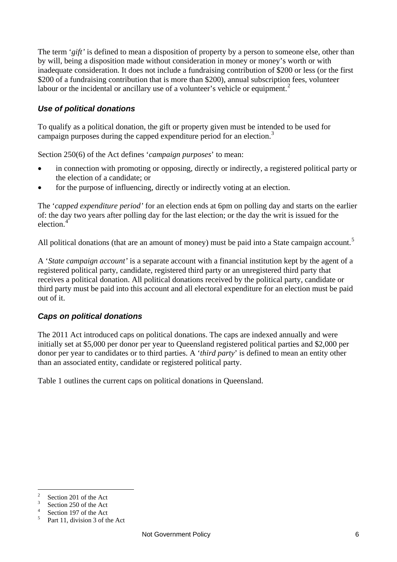The term '*gift'* is defined to mean a disposition of property by a person to someone else, other than by will, being a disposition made without consideration in money or money's worth or with inadequate consideration. It does not include a fundraising contribution of \$200 or less (or the first \$200 of a fundraising contribution that is more than \$200), annual subscription fees, volunteer labour or the incidental or ancillary use of a volunteer's vehicle or equipment.<sup>[2](#page-5-2)</sup>

#### *Use of political donations*

To qualify as a political donation, the gift or property given must be intended to be used for campaign purposes during the capped expenditure period for an election.<sup>[3](#page-6-0)</sup>

Section 250(6) of the Act defines '*campaign purposes*' to mean:

- in connection with promoting or opposing, directly or indirectly, a registered political party or the election of a candidate; or
- for the purpose of influencing, directly or indirectly voting at an election.

The '*capped expenditure period'* for an election ends at 6pm on polling day and starts on the earlier of: the day two years after polling day for the last election; or the day the writ is issued for the election<sup>[4](#page-6-1)</sup>

All political donations (that are an amount of money) must be paid into a State campaign account.<sup>[5](#page-6-2)</sup>

A '*State campaign account'* is a separate account with a financial institution kept by the agent of a registered political party, candidate, registered third party or an unregistered third party that receives a political donation. All political donations received by the political party, candidate or third party must be paid into this account and all electoral expenditure for an election must be paid out of it.

#### *Caps on political donations*

The 2011 Act introduced caps on political donations. The caps are indexed annually and were initially set at \$5,000 per donor per year to Queensland registered political parties and \$2,000 per donor per year to candidates or to third parties. A '*third party*' is defined to mean an entity other than an associated entity, candidate or registered political party.

Table 1 outlines the current caps on political donations in Queensland.

<sup>2</sup> Section 201 of the Act  $\overline{3}$ 

<span id="page-6-0"></span>Section 250 of the Act 4

<span id="page-6-1"></span>Section 197 of the Act

<span id="page-6-2"></span><sup>5</sup> Part 11, division 3 of the Act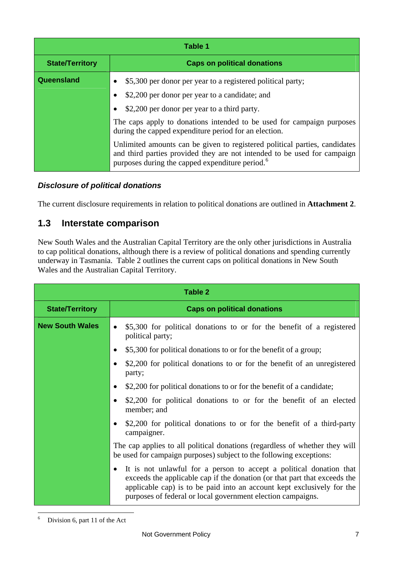| Table 1                |                                                                                                                                                                                                                       |  |  |  |  |  |  |  |
|------------------------|-----------------------------------------------------------------------------------------------------------------------------------------------------------------------------------------------------------------------|--|--|--|--|--|--|--|
| <b>State/Territory</b> | <b>Caps on political donations</b>                                                                                                                                                                                    |  |  |  |  |  |  |  |
| Queensland             | \$5,300 per donor per year to a registered political party;<br>٠                                                                                                                                                      |  |  |  |  |  |  |  |
|                        | \$2,200 per donor per year to a candidate; and<br>$\bullet$                                                                                                                                                           |  |  |  |  |  |  |  |
|                        | \$2,200 per donor per year to a third party.<br>$\bullet$                                                                                                                                                             |  |  |  |  |  |  |  |
|                        | The caps apply to donations intended to be used for campaign purposes<br>during the capped expenditure period for an election.                                                                                        |  |  |  |  |  |  |  |
|                        | Unlimited amounts can be given to registered political parties, candidates<br>and third parties provided they are not intended to be used for campaign<br>purposes during the capped expenditure period. <sup>6</sup> |  |  |  |  |  |  |  |

#### *Disclosure of political donations*

The current disclosure requirements in relation to political donations are outlined in **Attachment 2**.

## **1.3 Interstate comparison**

New South Wales and the Australian Capital Territory are the only other jurisdictions in Australia to cap political donations, although there is a review of political donations and spending currently underway in Tasmania. Table 2 outlines the current caps on political donations in New South Wales and the Australian Capital Territory.

<span id="page-7-0"></span>

| Table 2                |                                                                                                                                                                                                                                                                                                        |  |  |  |  |  |  |
|------------------------|--------------------------------------------------------------------------------------------------------------------------------------------------------------------------------------------------------------------------------------------------------------------------------------------------------|--|--|--|--|--|--|
| <b>State/Territory</b> | <b>Caps on political donations</b>                                                                                                                                                                                                                                                                     |  |  |  |  |  |  |
| <b>New South Wales</b> | \$5,300 for political donations to or for the benefit of a registered<br>$\bullet$<br>political party;                                                                                                                                                                                                 |  |  |  |  |  |  |
|                        | \$5,300 for political donations to or for the benefit of a group;<br>$\bullet$                                                                                                                                                                                                                         |  |  |  |  |  |  |
|                        | \$2,200 for political donations to or for the benefit of an unregistered<br>$\bullet$<br>party;                                                                                                                                                                                                        |  |  |  |  |  |  |
|                        | \$2,200 for political donations to or for the benefit of a candidate;<br>$\bullet$                                                                                                                                                                                                                     |  |  |  |  |  |  |
|                        | \$2,200 for political donations to or for the benefit of an elected<br>$\bullet$<br>member; and                                                                                                                                                                                                        |  |  |  |  |  |  |
|                        | \$2,200 for political donations to or for the benefit of a third-party<br>$\bullet$<br>campaigner.                                                                                                                                                                                                     |  |  |  |  |  |  |
|                        | The cap applies to all political donations (regardless of whether they will<br>be used for campaign purposes) subject to the following exceptions:                                                                                                                                                     |  |  |  |  |  |  |
|                        | It is not unlawful for a person to accept a political donation that<br>$\bullet$<br>exceeds the applicable cap if the donation (or that part that exceeds the<br>applicable cap) is to be paid into an account kept exclusively for the<br>purposes of federal or local government election campaigns. |  |  |  |  |  |  |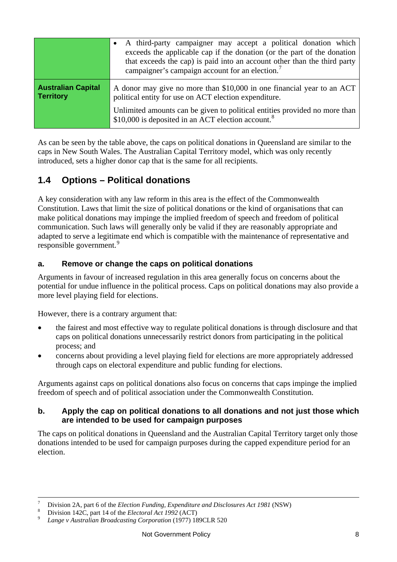|                                               | A third-party campaigner may accept a political donation which<br>exceeds the applicable cap if the donation (or the part of the donation<br>that exceeds the cap) is paid into an account other than the third party<br>campaigner's campaign account for an election. <sup>7</sup> |
|-----------------------------------------------|--------------------------------------------------------------------------------------------------------------------------------------------------------------------------------------------------------------------------------------------------------------------------------------|
| <b>Australian Capital</b><br><b>Territory</b> | A donor may give no more than \$10,000 in one financial year to an ACT<br>political entity for use on ACT election expenditure.                                                                                                                                                      |
|                                               | Unlimited amounts can be given to political entities provided no more than<br>\$10,000 is deposited in an ACT election account. <sup>8</sup>                                                                                                                                         |

As can be seen by the table above, the caps on political donations in Queensland are similar to the caps in New South Wales. The Australian Capital Territory model, which was only recently introduced, sets a higher donor cap that is the same for all recipients.

## **1.4 Options – Political donations**

A key consideration with any law reform in this area is the effect of the Commonwealth Constitution. Laws that limit the size of political donations or the kind of organisations that can make political donations may impinge the implied freedom of speech and freedom of political communication. Such laws will generally only be valid if they are reasonably appropriate and adapted to serve a legitimate end which is compatible with the maintenance of representative and responsible government.<sup>[9](#page-8-1)</sup>

#### **a. Remove or change the caps on political donations**

Arguments in favour of increased regulation in this area generally focus on concerns about the potential for undue influence in the political process. Caps on political donations may also provide a more level playing field for elections.

However, there is a contrary argument that:

- the fairest and most effective way to regulate political donations is through disclosure and that caps on political donations unnecessarily restrict donors from participating in the political process; and
- concerns about providing a level playing field for elections are more appropriately addressed through caps on electoral expenditure and public funding for elections.

Arguments against caps on political donations also focus on concerns that caps impinge the implied freedom of speech and of political association under the Commonwealth Constitution.

#### **b. Apply the cap on political donations to all donations and not just those which are intended to be used for campaign purposes**

The caps on political donations in Queensland and the Australian Capital Territory target only those donations intended to be used for campaign purposes during the capped expenditure period for an election.

<span id="page-8-2"></span><sup>-&</sup>lt;br>7 Division 2A, part 6 of the *Election Funding, Expenditure and Disclosures Act 1981* (NSW) Division 142C, part 14 of the *Electoral Act 1992* (ACT)

<span id="page-8-0"></span>

<span id="page-8-1"></span>Division 142C, part 14 of the *Electoral Act 1992* (ACT) 9 *Lange v Australian Broadcasting Corporation* (1977) 189CLR 520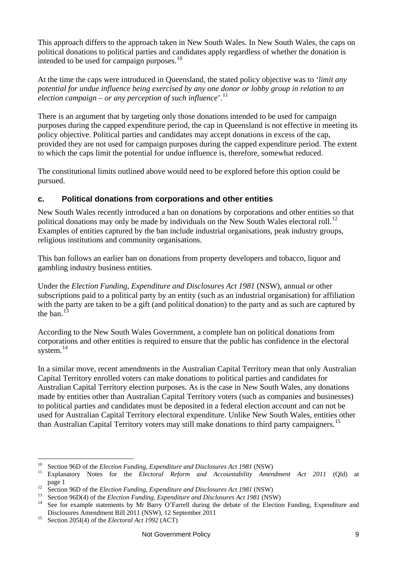This approach differs to the approach taken in New South Wales. In New South Wales, the caps on political donations to political parties and candidates apply regardless of whether the donation is intended to be used for campaign purposes.<sup>[10](#page-8-2)</sup>

At the time the caps were introduced in Queensland, the stated policy objective was to *'limit any potential for undue influence being exercised by any one donor or lobby group in relation to an election campaign – or any perception of such influence*'.[11](#page-9-0)

There is an argument that by targeting only those donations intended to be used for campaign purposes during the capped expenditure period, the cap in Queensland is not effective in meeting its policy objective. Political parties and candidates may accept donations in excess of the cap, provided they are not used for campaign purposes during the capped expenditure period. The extent to which the caps limit the potential for undue influence is, therefore, somewhat reduced.

The constitutional limits outlined above would need to be explored before this option could be pursued.

#### **c. Political donations from corporations and other entities**

New South Wales recently introduced a ban on donations by corporations and other entities so that political donations may only be made by individuals on the New South Wales electoral roll.<sup>[12](#page-9-1)</sup> Examples of entities captured by the ban include industrial organisations, peak industry groups, religious institutions and community organisations.

This ban follows an earlier ban on donations from property developers and tobacco, liquor and gambling industry business entities.

Under the *[Election Funding, Expenditure and Disclosures Act 1981](http://www.legislation.nsw.gov.au/bills/info/661b5615-b6de-c98f-b60e-eee9ccbf5812)* (NSW), annual or other subscriptions paid to a political party by an entity (such as an industrial organisation) for affiliation with the party are taken to be a gift (and political donation) to the party and as such are captured by the ban.<sup>[13](#page-9-2)</sup>

According to the New South Wales Government, a complete ban on political donations from corporations and other entities is required to ensure that the public has confidence in the electoral system.<sup>[14](#page-9-3)</sup>

In a similar move, recent amendments in the Australian Capital Territory mean that only Australian Capital Territory enrolled voters can make donations to political parties and candidates for Australian Capital Territory election purposes. As is the case in New South Wales, any donations made by entities other than Australian Capital Territory voters (such as companies and businesses) to political parties and candidates must be deposited in a federal election account and can not be used for Australian Capital Territory electoral expenditure. Unlike New South Wales, entities other than Australian Capital Territory voters may still make donations to third party campaigners.<sup>[15](#page-9-4)</sup>

<span id="page-9-0"></span><sup>&</sup>lt;sup>10</sup> Section 96D of the *Election Funding, Expenditure and Disclosures Act 1981* (NSW)<br><sup>11</sup> Explanatory Notes for the *Electoral Reform and Accountability Amendment Act 2011* (Qld) at<br>page 1

<span id="page-9-3"></span><span id="page-9-2"></span>

<span id="page-9-1"></span><sup>&</sup>lt;sup>12</sup> Section 96D of the *Election Funding, Expenditure and Disclosures Act 1981* (NSW)<br><sup>13</sup> Section 96D(4) of the *Election Funding, Expenditure and Disclosures Act 1981* (NSW)<br><sup>14</sup> See for example statements by Mr Barry Disclosures Amendment Bill 2011 (NSW), 12 September 2011<br><sup>15</sup> Section 205I(4) of the *Electoral Act 1992* (ACT)

<span id="page-9-4"></span>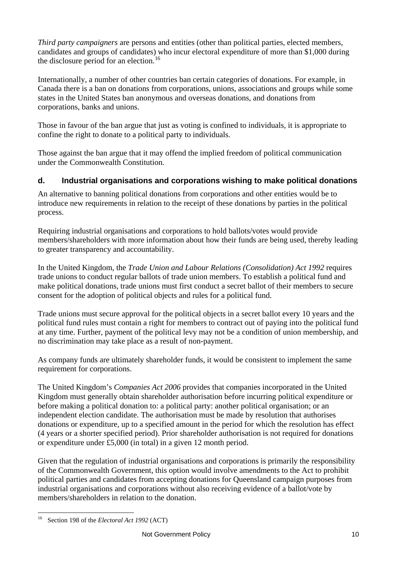*Third party campaigners* are persons and entities (other than political parties, elected members, candidates and groups of candidates) who incur electoral expenditure of more than \$1,000 during the disclosure period for an election.<sup>[16](#page-9-4)</sup>

Internationally, a number of other countries ban certain categories of donations. For example, in Canada there is a ban on donations from corporations, unions, associations and groups while some states in the United States ban anonymous and overseas donations, and donations from corporations, banks and unions.

Those in favour of the ban argue that just as voting is confined to individuals, it is appropriate to confine the right to donate to a political party to individuals.

Those against the ban argue that it may offend the implied freedom of political communication under the Commonwealth Constitution.

#### **d. Industrial organisations and corporations wishing to make political donations**

An alternative to banning political donations from corporations and other entities would be to introduce new requirements in relation to the receipt of these donations by parties in the political process.

Requiring industrial organisations and corporations to hold ballots/votes would provide members/shareholders with more information about how their funds are being used, thereby leading to greater transparency and accountability.

In the United Kingdom, the *Trade Union and Labour Relations (Consolidation) Act 1992* requires trade unions to conduct regular ballots of trade union members. To establish a political fund and make political donations, trade unions must first conduct a secret ballot of their members to secure consent for the adoption of political objects and rules for a political fund.

Trade unions must secure approval for the political objects in a secret ballot every 10 years and the political fund rules must contain a right for members to contract out of paying into the political fund at any time. Further, payment of the political levy may not be a condition of union membership, and no discrimination may take place as a result of non-payment.

As company funds are ultimately shareholder funds, it would be consistent to implement the same requirement for corporations.

The United Kingdom's *Companies Act 2006* provides that companies incorporated in the United Kingdom must generally obtain shareholder authorisation before incurring political expenditure or before making a political donation to: a political party: another political organisation; or an independent election candidate. The authorisation must be made by resolution that authorises donations or expenditure, up to a specified amount in the period for which the resolution has effect (4 years or a shorter specified period). Prior shareholder authorisation is not required for donations or expenditure under £5,000 (in total) in a given 12 month period.

Given that the regulation of industrial organisations and corporations is primarily the responsibility of the Commonwealth Government, this option would involve amendments to the Act to prohibit political parties and candidates from accepting donations for Queensland campaign purposes from industrial organisations and corporations without also receiving evidence of a ballot/vote by members/shareholders in relation to the donation.

<span id="page-10-0"></span> $\overline{a}$ 16 Section 198 of the *Electoral Act 1992* (ACT)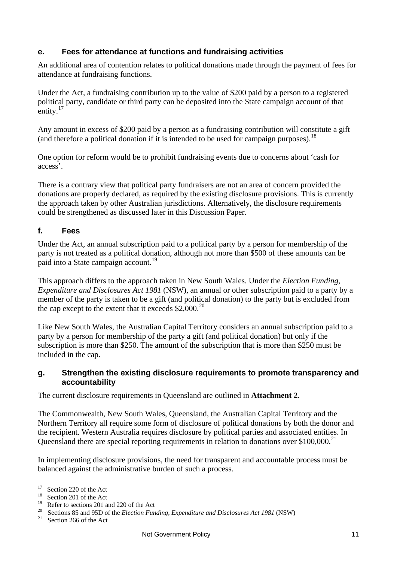#### **e. Fees for attendance at functions and fundraising activities**

An additional area of contention relates to political donations made through the payment of fees for attendance at fundraising functions.

Under the Act, a fundraising contribution up to the value of \$200 paid by a person to a registered political party, candidate or third party can be deposited into the State campaign account of that entity. $17$ 

Any amount in excess of \$200 paid by a person as a fundraising contribution will constitute a gift (and therefore a political donation if it is intended to be used for campaign purposes).[18](#page-11-0)

One option for reform would be to prohibit fundraising events due to concerns about 'cash for access'.

There is a contrary view that political party fundraisers are not an area of concern provided the donations are properly declared, as required by the existing disclosure provisions. This is currently the approach taken by other Australian jurisdictions. Alternatively, the disclosure requirements could be strengthened as discussed later in this Discussion Paper.

#### **f. Fees**

Under the Act, an annual subscription paid to a political party by a person for membership of the party is not treated as a political donation, although not more than \$500 of these amounts can be paid into a State campaign account.<sup>[19](#page-11-1)</sup>

This approach differs to the approach taken in New South Wales. Under the *[Election Funding,](http://www.legislation.nsw.gov.au/bills/info/661b5615-b6de-c98f-b60e-eee9ccbf5812)  [Expenditure and Disclosures Act 1981](http://www.legislation.nsw.gov.au/bills/info/661b5615-b6de-c98f-b60e-eee9ccbf5812)* (NSW), an annual or other subscription paid to a party by a member of the party is taken to be a gift (and political donation) to the party but is excluded from the cap except to the extent that it exceeds  $$2,000.<sup>20</sup>$  $$2,000.<sup>20</sup>$  $$2,000.<sup>20</sup>$ 

Like New South Wales, the Australian Capital Territory considers an annual subscription paid to a party by a person for membership of the party a gift (and political donation) but only if the subscription is more than \$250. The amount of the subscription that is more than \$250 must be included in the cap.

#### **g. Strengthen the existing disclosure requirements to promote transparency and accountability**

The current disclosure requirements in Queensland are outlined in **Attachment 2**.

The Commonwealth, New South Wales, Queensland, the Australian Capital Territory and the Northern Territory all require some form of disclosure of political donations by both the donor and the recipient. Western Australia requires disclosure by political parties and associated entities. In Queensland there are special reporting requirements in relation to donations over  $$100,000$ <sup>[21](#page-11-3)</sup>

In implementing disclosure provisions, the need for transparent and accountable process must be balanced against the administrative burden of such a process.

 $17<sup>17</sup>$  $^{17}$  Section 220 of the Act

<span id="page-11-0"></span> $18 \text{ Section 201}$  of the Act

Refer to sections 201 and 220 of the Act

<span id="page-11-2"></span><span id="page-11-1"></span><sup>&</sup>lt;sup>20</sup> Sections 85 and 95D of the *Election Funding, Expenditure and Disclosures Act 1981* (NSW)<br><sup>21</sup> Section 266 of the Act

<span id="page-11-3"></span>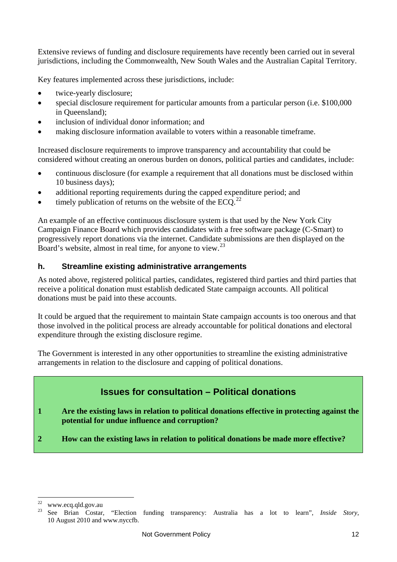Extensive reviews of funding and disclosure requirements have recently been carried out in several jurisdictions, including the Commonwealth, New South Wales and the Australian Capital Territory.

Key features implemented across these jurisdictions, include:

- twice-yearly disclosure;
- special disclosure requirement for particular amounts from a particular person (i.e. \$100,000 in Queensland);
- inclusion of individual donor information; and
- making disclosure information available to voters within a reasonable timeframe.

Increased disclosure requirements to improve transparency and accountability that could be considered without creating an onerous burden on donors, political parties and candidates, include:

- continuous disclosure (for example a requirement that all donations must be disclosed within 10 business days);
- additional reporting requirements during the capped expenditure period; and
- timely publication of returns on the website of the  $ECO<sup>22</sup>$  $ECO<sup>22</sup>$  $ECO<sup>22</sup>$

An example of an effective continuous disclosure system is that used by the [New York City](http://www.nyccfb.org/)  [Campaign Finance Board](http://www.nyccfb.org/) which provides candidates with a free software package (C-Smart) to progressively report donations via the internet. Candidate submissions are then displayed on the Board's website, almost in real time, for anyone to view.<sup>[23](#page-12-0)</sup>

#### **h. Streamline existing administrative arrangements**

As noted above, registered political parties, candidates, registered third parties and third parties that receive a political donation must establish dedicated State campaign accounts. All political donations must be paid into these accounts.

It could be argued that the requirement to maintain State campaign accounts is too onerous and that those involved in the political process are already accountable for political donations and electoral expenditure through the existing disclosure regime.

The Government is interested in any other opportunities to streamline the existing administrative arrangements in relation to the disclosure and capping of political donations.

## **Issues for consultation – Political donations**

- **1 Are the existing laws in relation to political donations effective in protecting against the potential for undue influence and corruption?**
- **2 How can the existing laws in relation to political donations be made more effective?**

<span id="page-12-1"></span><span id="page-12-0"></span> $22$ www.ecq.qld.gov.au

<sup>23</sup> See Brian Costar, "Election funding transparency: Australia has a lot to learn", *Inside Story,* 10 August 2010 and www.nyccfb.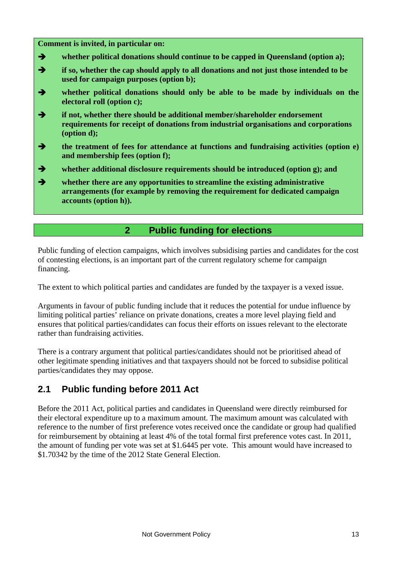#### **Comment is invited, in particular on:**

- $\rightarrow$  whether political donations should continue to be capped in Queensland (option a);
- **1** if so, whether the cap should apply to all donations and not just those intended to be **used for campaign purposes (option b);**
- **whether political donations should only be able to be made by individuals on the electoral roll (option c);**
- $\rightarrow$  if not, whether there should be additional member/shareholder endorsement **requirements for receipt of donations from industrial organisations and corporations (option d);**
- **the treatment of fees for attendance at functions and fundraising activities (option e) and membership fees (option f);**
- $\rightarrow$  whether additional disclosure requirements should be introduced (option g); and
- **whether there are any opportunities to streamline the existing administrative arrangements (for example by removing the requirement for dedicated campaign accounts (option h)).**

#### **2 Public funding for elections**

<span id="page-13-0"></span>Public funding of election campaigns, which involves subsidising parties and candidates for the cost of contesting elections, is an important part of the current regulatory scheme for campaign financing.

The extent to which political parties and candidates are funded by the taxpayer is a vexed issue.

Arguments in favour of public funding include that it reduces the potential for undue influence by limiting political parties' reliance on private donations, creates a more level playing field and ensures that political parties/candidates can focus their efforts on issues relevant to the electorate rather than fundraising activities.

There is a contrary argument that political parties/candidates should not be prioritised ahead of other legitimate spending initiatives and that taxpayers should not be forced to subsidise political parties/candidates they may oppose.

## **2.1 Public funding before 2011 Act**

Before the 2011 Act, political parties and candidates in Queensland were directly reimbursed for their electoral expenditure up to a maximum amount. The maximum amount was calculated with reference to the number of first preference votes received once the candidate or group had qualified for reimbursement by obtaining at least 4% of the total formal first preference votes cast. In 2011, the amount of funding per vote was set at \$1.6445 per vote. This amount would have increased to \$1.70342 by the time of the 2012 State General Election.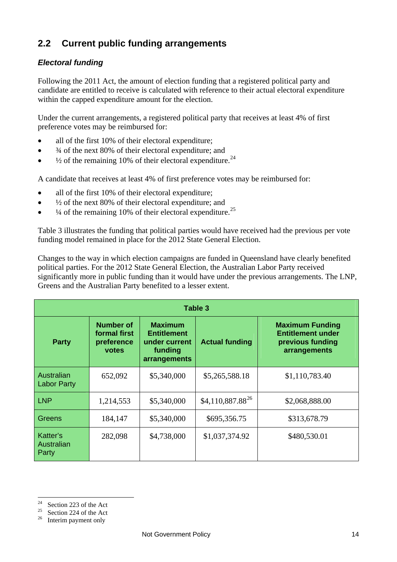## **2.2 Current public funding arrangements**

#### *Electoral funding*

Following the 2011 Act, the amount of election funding that a registered political party and candidate are entitled to receive is calculated with reference to their actual electoral expenditure within the capped expenditure amount for the election.

Under the current arrangements, a registered political party that receives at least 4% of first preference votes may be reimbursed for:

- all of the first 10% of their electoral expenditure;
- ¾ of the next 80% of their electoral expenditure; and
- $\bullet$   $\frac{1}{2}$  of the remaining 10% of their electoral expenditure.<sup>[24](#page-12-1)</sup>

A candidate that receives at least 4% of first preference votes may be reimbursed for:

- all of the first 10% of their electoral expenditure;
- $\bullet$   $\frac{1}{2}$  of the next 80% of their electoral expenditure; and
- $\bullet$   $\frac{1}{4}$  of the remaining 10% of their electoral expenditure.<sup>[25](#page-14-0)</sup>

Table 3 illustrates the funding that political parties would have received had the previous per vote funding model remained in place for the 2012 State General Election.

Changes to the way in which election campaigns are funded in Queensland have clearly benefited political parties. For the 2012 State General Election, the Australian Labor Party received significantly more in public funding than it would have under the previous arrangements. The LNP, Greens and the Australian Party benefited to a lesser extent.

| Table 3                          |                                                                                                                                             |             |                       |                                                                                        |  |  |  |  |
|----------------------------------|---------------------------------------------------------------------------------------------------------------------------------------------|-------------|-----------------------|----------------------------------------------------------------------------------------|--|--|--|--|
| <b>Party</b>                     | <b>Number of</b><br><b>Maximum</b><br>formal first<br><b>Entitlement</b><br>preference<br>under current<br>funding<br>votes<br>arrangements |             | <b>Actual funding</b> | <b>Maximum Funding</b><br><b>Entitlement under</b><br>previous funding<br>arrangements |  |  |  |  |
| Australian<br><b>Labor Party</b> | 652,092                                                                                                                                     | \$5,340,000 | \$5,265,588.18        | \$1,110,783.40                                                                         |  |  |  |  |
| <b>LNP</b>                       | 1,214,553                                                                                                                                   | \$5,340,000 | $$4,110,887.88^{26}$  | \$2,068,888.00                                                                         |  |  |  |  |
| Greens                           | 184,147                                                                                                                                     | \$5,340,000 | \$695,356.75          | \$313,678.79                                                                           |  |  |  |  |
| Katter's<br>Australian<br>Party  | 282,098                                                                                                                                     | \$4,738,000 | \$1,037,374.92        | \$480,530.01                                                                           |  |  |  |  |

<span id="page-14-2"></span> $24$ Section 223 of the Act

<span id="page-14-0"></span><sup>&</sup>lt;sup>25</sup> Section 224 of the Act

<span id="page-14-1"></span><sup>&</sup>lt;sup>26</sup> Interim payment only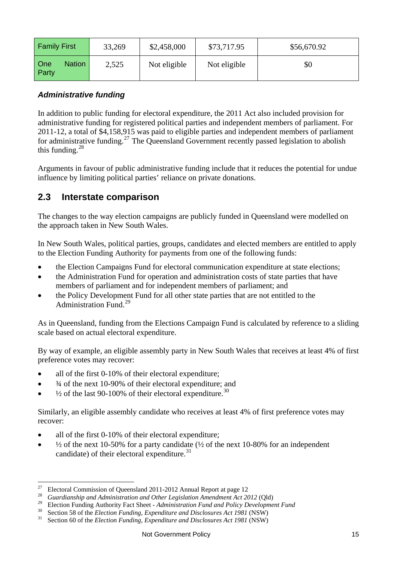| <b>Family First</b><br>33,269 |       | \$2,458,000  | \$73,717.95  | \$56,670.92 |  |  |
|-------------------------------|-------|--------------|--------------|-------------|--|--|
| <b>Nation</b><br>One<br>Party | 2,525 | Not eligible | Not eligible | \$0         |  |  |

#### *Administrative funding*

In addition to public funding for electoral expenditure, the 2011 Act also included provision for administrative funding for registered political parties and independent members of parliament. For 2011-12, a total of \$4,158,915 was paid to eligible parties and independent members of parliament for administrative funding.<sup>[27](#page-14-2)</sup> The Queensland Government recently passed legislation to abolish this funding. $28$ 

Arguments in favour of public administrative funding include that it reduces the potential for undue influence by limiting political parties' reliance on private donations.

#### **2.3 Interstate comparison**

The changes to the way election campaigns are publicly funded in Queensland were modelled on the approach taken in New South Wales.

In New South Wales, political parties, groups, candidates and elected members are entitled to apply to the Election Funding Authority for payments from one of the following funds:

- the Election Campaigns Fund for electoral communication expenditure at state elections;
- the Administration Fund for operation and administration costs of state parties that have members of parliament and for independent members of parliament; and
- the Policy Development Fund for all other state parties that are not entitled to the Administration Fund.[29](#page-15-0)

As in Queensland, funding from the Elections Campaign Fund is calculated by reference to a sliding scale based on actual electoral expenditure.

By way of example, an eligible assembly party in New South Wales that receives at least 4% of first preference votes may recover:

- all of the first 0-10% of their electoral expenditure;
- ¾ of the next 10-90% of their electoral expenditure; and
- $\frac{1}{2}$  of the last 90-100% of their electoral expenditure.<sup>[30](#page-15-1)</sup>

Similarly, an eligible assembly candidate who receives at least 4% of first preference votes may recover:

- all of the first 0-10% of their electoral expenditure;
- $\bullet$   $\frac{1}{2}$  of the next 10-50% for a party candidate ( $\frac{1}{2}$  of the next 10-80% for an independent candidate) of their electoral expenditure.<sup>[31](#page-15-2)</sup>

 $27$ 27 Electoral Commission of Queensland 2011-2012 Annual Report at page 12

<sup>&</sup>lt;sup>28</sup> [Guardianship and Administration and Other Legislation Amendment Act 2012](http://www.legislation.qld.gov.au/Bills/54PDF/2012/GuardAdmOLAB12.pdf) (Qld)

<span id="page-15-0"></span><sup>&</sup>lt;sup>29</sup> Election Funding Authority Fact Sheet - Administration Fund and Policy Development Fund<br><sup>30</sup> Section 58 of the *Election Funding, Expenditure and Disclosures Act 1981* (NSW)<br><sup>31</sup> Section 60 of the *Election Funding,* 

<span id="page-15-2"></span><span id="page-15-1"></span>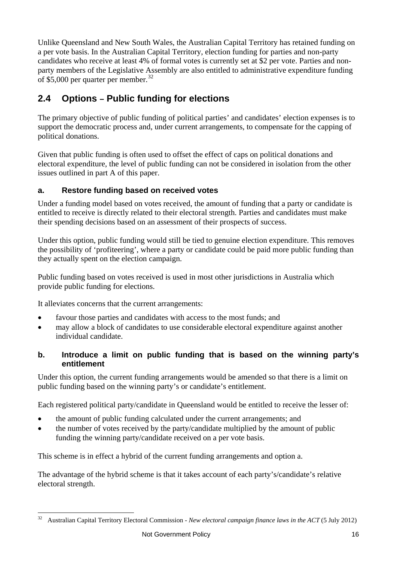Unlike Queensland and New South Wales, the Australian Capital Territory has retained funding on a per vote basis. In the Australian Capital Territory, election funding for parties and non-party candidates who receive at least 4% of formal votes is currently set at \$2 per vote. Parties and nonparty members of the Legislative Assembly are also entitled to administrative expenditure funding of \$5,000 per quarter per member.<sup>[32](#page-15-2)</sup>

## **2.4 Options – Public funding for elections**

The primary objective of public funding of political parties' and candidates' election expenses is to support the democratic process and, under current arrangements, to compensate for the capping of political donations.

Given that public funding is often used to offset the effect of caps on political donations and electoral expenditure, the level of public funding can not be considered in isolation from the other issues outlined in part A of this paper.

#### **a. Restore funding based on received votes**

Under a funding model based on votes received, the amount of funding that a party or candidate is entitled to receive is directly related to their electoral strength. Parties and candidates must make their spending decisions based on an assessment of their prospects of success.

Under this option, public funding would still be tied to genuine election expenditure. This removes the possibility of 'profiteering', where a party or candidate could be paid more public funding than they actually spent on the election campaign.

Public funding based on votes received is used in most other jurisdictions in Australia which provide public funding for elections.

It alleviates concerns that the current arrangements:

<span id="page-16-0"></span> $\overline{a}$ 

- favour those parties and candidates with access to the most funds; and
- may allow a block of candidates to use considerable electoral expenditure against another individual candidate.

#### **b. Introduce a limit on public funding that is based on the winning party's entitlement**

Under this option, the current funding arrangements would be amended so that there is a limit on public funding based on the winning party's or candidate's entitlement.

Each registered political party/candidate in Queensland would be entitled to receive the lesser of:

- the amount of public funding calculated under the current arrangements; and
- the number of votes received by the party/candidate multiplied by the amount of public funding the winning party/candidate received on a per vote basis.

This scheme is in effect a hybrid of the current funding arrangements and option a.

The advantage of the hybrid scheme is that it takes account of each party's/candidate's relative electoral strength.

<sup>32</sup> Australian Capital Territory Electoral Commission - *New electoral campaign finance laws in the ACT* (5 July 2012)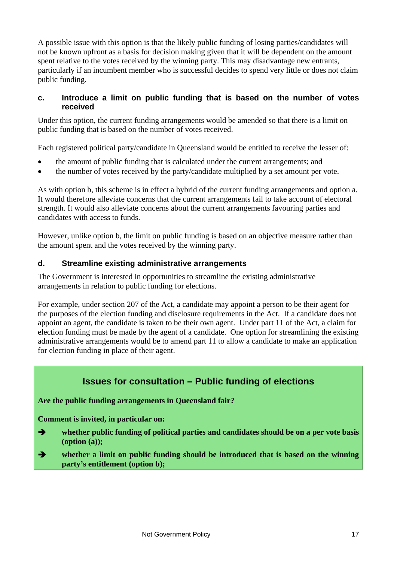A possible issue with this option is that the likely public funding of losing parties/candidates will not be known upfront as a basis for decision making given that it will be dependent on the amount spent relative to the votes received by the winning party. This may disadvantage new entrants, particularly if an incumbent member who is successful decides to spend very little or does not claim public funding.

#### **c. Introduce a limit on public funding that is based on the number of votes received**

Under this option, the current funding arrangements would be amended so that there is a limit on public funding that is based on the number of votes received.

Each registered political party/candidate in Queensland would be entitled to receive the lesser of:

- the amount of public funding that is calculated under the current arrangements; and
- the number of votes received by the party/candidate multiplied by a set amount per vote.

As with option b, this scheme is in effect a hybrid of the current funding arrangements and option a. It would therefore alleviate concerns that the current arrangements fail to take account of electoral strength. It would also alleviate concerns about the current arrangements favouring parties and candidates with access to funds.

However, unlike option b, the limit on public funding is based on an objective measure rather than the amount spent and the votes received by the winning party.

#### **d. Streamline existing administrative arrangements**

The Government is interested in opportunities to streamline the existing administrative arrangements in relation to public funding for elections.

For example, under section 207 of the Act, a candidate may appoint a person to be their agent for the purposes of the election funding and disclosure requirements in the Act. If a candidate does not appoint an agent, the candidate is taken to be their own agent. Under part 11 of the Act, a claim for election funding must be made by the agent of a candidate. One option for streamlining the existing administrative arrangements would be to amend part 11 to allow a candidate to make an application for election funding in place of their agent.

## **Issues for consultation – Public funding of elections**

**Are the public funding arrangements in Queensland fair?** 

**Comment is invited, in particular on:** 

- **whether public funding of political parties and candidates should be on a per vote basis (option (a));**
- **whether a limit on public funding should be introduced that is based on the winning party's entitlement (option b);**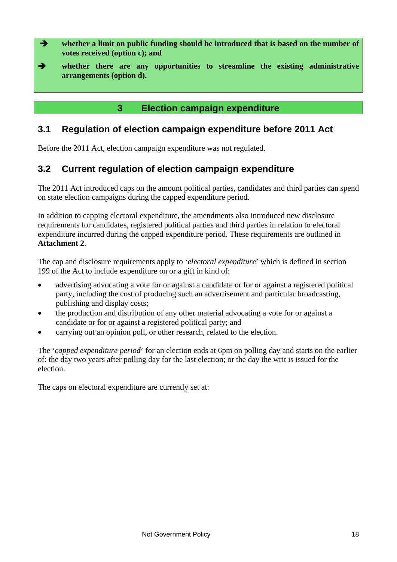- **whether a limit on public funding should be introduced that is based on the number of votes received (option c); and**
- **whether there are any opportunities to streamline the existing administrative arrangements (option d).**

## **3 Election campaign expenditure**

#### <span id="page-18-0"></span>**3.1 Regulation of election campaign expenditure before 2011 Act**

Before the 2011 Act, election campaign expenditure was not regulated.

#### **3.2 Current regulation of election campaign expenditure**

The 2011 Act introduced caps on the amount political parties, candidates and third parties can spend on state election campaigns during the capped expenditure period.

In addition to capping electoral expenditure, the amendments also introduced new disclosure requirements for candidates, registered political parties and third parties in relation to electoral expenditure incurred during the capped expenditure period. These requirements are outlined in **Attachment 2**.

The cap and disclosure requirements apply to '*electoral expenditure*' which is defined in section 199 of the Act to include expenditure on or a gift in kind of:

- advertising advocating a vote for or against a candidate or for or against a registered political party, including the cost of producing such an advertisement and particular broadcasting, publishing and display costs;
- the production and distribution of any other material advocating a vote for or against a candidate or for or against a registered political party; and
- carrying out an opinion poll, or other research, related to the election.

The '*capped expenditure period*' for an election ends at 6pm on polling day and starts on the earlier of: the day two years after polling day for the last election; or the day the writ is issued for the election.

The caps on electoral expenditure are currently set at: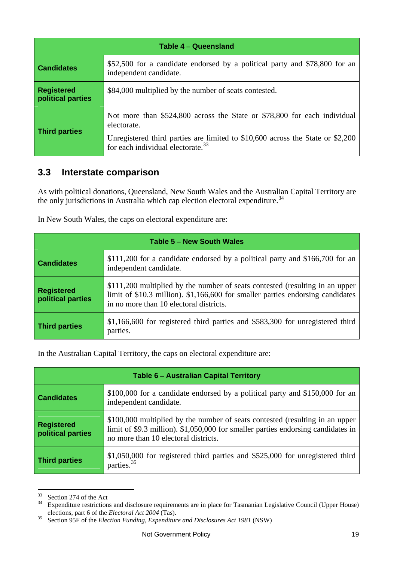| <b>Table 4 - Queensland</b>            |                                                                                                                                                                                                                            |  |  |  |  |  |
|----------------------------------------|----------------------------------------------------------------------------------------------------------------------------------------------------------------------------------------------------------------------------|--|--|--|--|--|
| <b>Candidates</b>                      | \$52,500 for a candidate endorsed by a political party and \$78,800 for an<br>independent candidate.                                                                                                                       |  |  |  |  |  |
| <b>Registered</b><br>political parties | \$84,000 multiplied by the number of seats contested.                                                                                                                                                                      |  |  |  |  |  |
| <b>Third parties</b>                   | Not more than \$524,800 across the State or \$78,800 for each individual<br>electorate.<br>Unregistered third parties are limited to \$10,600 across the State or \$2,200<br>for each individual electorate. <sup>33</sup> |  |  |  |  |  |

#### **3.3 Interstate comparison**

As with political donations, Queensland, New South Wales and the Australian Capital Territory are the only jurisdictions in Australia which cap election electoral expenditure.<sup>[34](#page-19-0)</sup>

| Table 5 - New South Wales              |                                                                                                                                                                                                           |  |  |  |  |  |
|----------------------------------------|-----------------------------------------------------------------------------------------------------------------------------------------------------------------------------------------------------------|--|--|--|--|--|
| <b>Candidates</b>                      | \$111,200 for a candidate endorsed by a political party and \$166,700 for an<br>independent candidate.                                                                                                    |  |  |  |  |  |
| <b>Registered</b><br>political parties | \$111,200 multiplied by the number of seats contested (resulting in an upper<br>limit of \$10.3 million). \$1,166,600 for smaller parties endorsing candidates<br>in no more than 10 electoral districts. |  |  |  |  |  |
| <b>Third parties</b>                   | \$1,166,600 for registered third parties and \$583,300 for unregistered third<br>parties.                                                                                                                 |  |  |  |  |  |

In the Australian Capital Territory, the caps on electoral expenditure are:

| Table 6 - Australian Capital Territory |                                                                                                                                                                                                          |  |  |  |  |  |
|----------------------------------------|----------------------------------------------------------------------------------------------------------------------------------------------------------------------------------------------------------|--|--|--|--|--|
| <b>Candidates</b>                      | \$100,000 for a candidate endorsed by a political party and \$150,000 for an<br>independent candidate.                                                                                                   |  |  |  |  |  |
| <b>Registered</b><br>political parties | \$100,000 multiplied by the number of seats contested (resulting in an upper<br>limit of \$9.3 million). \$1,050,000 for smaller parties endorsing candidates in<br>no more than 10 electoral districts. |  |  |  |  |  |
| <b>Third parties</b>                   | $$1,050,000$ for registered third parties and $$525,000$ for unregistered third<br>parties. <sup>35</sup>                                                                                                |  |  |  |  |  |

 $33$  Section 274 of the Act

<span id="page-19-0"></span><sup>&</sup>lt;sup>34</sup> Expenditure restrictions and disclosure requirements are in place for Tasmanian Legislative Council (Upper House) elections, part 6 of the *Electoral Act 2004* (Tas).

<span id="page-19-2"></span><span id="page-19-1"></span>elections, part 6 of the *Electoral Act 2004* (Tas). 35 Section 95F of the *Election Funding, Expenditure and Disclosures Act 1981* (NSW)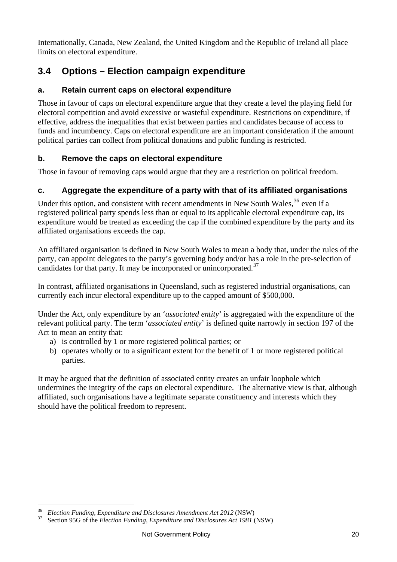Internationally, Canada, New Zealand, the United Kingdom and the Republic of Ireland all place limits on electoral expenditure.

## **3.4 Options – Election campaign expenditure**

#### **a. Retain current caps on electoral expenditure**

Those in favour of caps on electoral expenditure argue that they create a level the playing field for electoral competition and avoid excessive or wasteful expenditure. Restrictions on expenditure, if effective, address the inequalities that exist between parties and candidates because of access to funds and incumbency. Caps on electoral expenditure are an important consideration if the amount political parties can collect from political donations and public funding is restricted.

#### **b. Remove the caps on electoral expenditure**

Those in favour of removing caps would argue that they are a restriction on political freedom.

#### **c. Aggregate the expenditure of a party with that of its affiliated organisations**

Under this option, and consistent with recent amendments in New South Wales,  $36$  even if a registered political party spends less than or equal to its applicable electoral expenditure cap, its expenditure would be treated as exceeding the cap if the combined expenditure by the party and its affiliated organisations exceeds the cap.

An affiliated organisation is defined in New South Wales to mean a body that, under the rules of the party, can appoint delegates to the party's governing body and/or has a role in the pre-selection of candidates for that party. It may be incorporated or unincorporated.<sup>[37](#page-20-0)</sup>

In contrast, affiliated organisations in Queensland, such as registered industrial organisations, can currently each incur electoral expenditure up to the capped amount of \$500,000.

Under the Act, only expenditure by an '*associated entity*' is aggregated with the expenditure of the relevant political party. The term '*associated entity*' is defined quite narrowly in section 197 of the Act to mean an entity that:

- a) is controlled by 1 or more registered political parties; or
- b) operates wholly or to a significant extent for the benefit of 1 or more registered political parties.

It may be argued that the definition of associated entity creates an unfair loophole which undermines the integrity of the caps on electoral expenditure. The alternative view is that, although affiliated, such organisations have a legitimate separate constituency and interests which they should have the political freedom to represent.

<span id="page-20-1"></span><sup>&</sup>lt;sup>36</sup> *Election Funding, Expenditure and Disclosures Amendment Act 2012* (NSW)<br><sup>37</sup> Section 95G of the *Election Funding, Expenditure and Disclosures Act 1981* (NSW)

<span id="page-20-0"></span>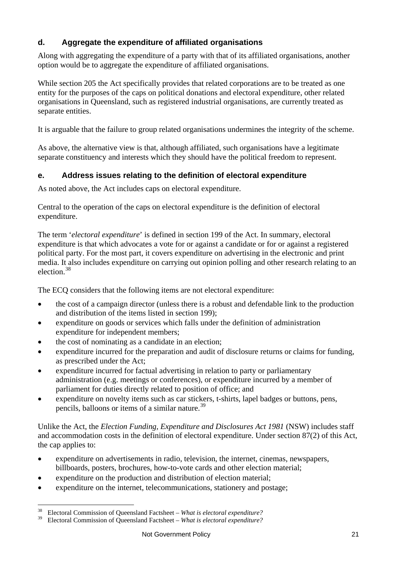#### **d. Aggregate the expenditure of affiliated organisations**

Along with aggregating the expenditure of a party with that of its affiliated organisations, another option would be to aggregate the expenditure of affiliated organisations.

While section 205 the Act specifically provides that related corporations are to be treated as one entity for the purposes of the caps on political donations and electoral expenditure, other related organisations in Queensland, such as registered industrial organisations, are currently treated as separate entities.

It is arguable that the failure to group related organisations undermines the integrity of the scheme.

As above, the alternative view is that, although affiliated, such organisations have a legitimate separate constituency and interests which they should have the political freedom to represent.

#### **e. Address issues relating to the definition of electoral expenditure**

As noted above, the Act includes caps on electoral expenditure.

Central to the operation of the caps on electoral expenditure is the definition of electoral expenditure.

The term '*electoral expenditure*' is defined in section 199 of the Act. In summary, electoral expenditure is that which advocates a vote for or against a candidate or for or against a registered political party. For the most part, it covers expenditure on advertising in the electronic and print media. It also includes expenditure on carrying out opinion polling and other research relating to an election.[38](#page-20-1)

The ECQ considers that the following items are not electoral expenditure:

- the cost of a campaign director (unless there is a robust and defendable link to the production and distribution of the items listed in section 199);
- expenditure on goods or services which falls under the definition of administration expenditure for independent members;
- the cost of nominating as a candidate in an election;
- expenditure incurred for the preparation and audit of disclosure returns or claims for funding, as prescribed under the Act;
- expenditure incurred for factual advertising in relation to party or parliamentary administration (e.g. meetings or conferences), or expenditure incurred by a member of parliament for duties directly related to position of office; and
- expenditure on novelty items such as car stickers, t-shirts, lapel badges or buttons, pens, pencils, balloons or items of a similar nature.[39](#page-21-0)

Unlike the Act, the *Election Funding, Expenditure and Disclosures Act 1981* (NSW) includes staff and accommodation costs in the definition of electoral expenditure. Under section 87(2) of this Act, the cap applies to:

- expenditure on advertisements in radio, television, the internet, cinemas, newspapers, billboards, posters, brochures, how-to-vote cards and other election material;
- expenditure on the production and distribution of election material;
- <span id="page-21-1"></span>expenditure on the internet, telecommunications, stationery and postage;

<sup>&</sup>lt;sup>38</sup> Electoral Commission of Queensland Factsheet – *What is electoral expenditure?*<br><sup>39</sup> Electoral Commission of Queensland Factsheet – *What is electoral owner diture?* 

<span id="page-21-0"></span><sup>39</sup> Electoral Commission of Queensland Factsheet – *What is electoral expenditure?*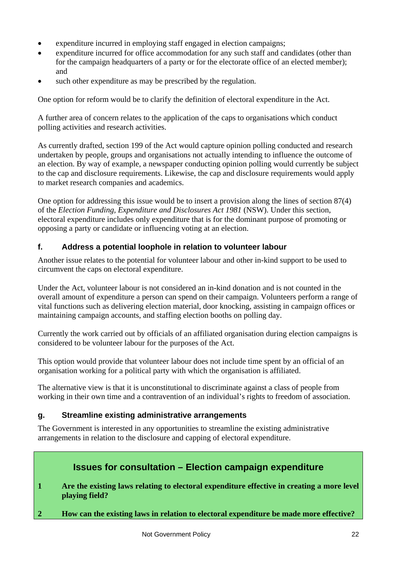- expenditure incurred in employing staff engaged in election campaigns;
- expenditure incurred for office accommodation for any such staff and candidates (other than for the campaign headquarters of a party or for the electorate office of an elected member); and
- such other expenditure as may be prescribed by the regulation.

One option for reform would be to clarify the definition of electoral expenditure in the Act.

A further area of concern relates to the application of the caps to organisations which conduct polling activities and research activities.

As currently drafted, section 199 of the Act would capture opinion polling conducted and research undertaken by people, groups and organisations not actually intending to influence the outcome of an election. By way of example, a newspaper conducting opinion polling would currently be subject to the cap and disclosure requirements. Likewise, the cap and disclosure requirements would apply to market research companies and academics.

One option for addressing this issue would be to insert a provision along the lines of section 87(4) of the *Election Funding, Expenditure and Disclosures Act 1981* (NSW). Under this section, electoral expenditure includes only expenditure that is for the dominant purpose of promoting or opposing a party or candidate or influencing voting at an election.

#### **f. Address a potential loophole in relation to volunteer labour**

Another issue relates to the potential for volunteer labour and other in-kind support to be used to circumvent the caps on electoral expenditure.

Under the Act, volunteer labour is not considered an in-kind donation and is not counted in the overall amount of expenditure a person can spend on their campaign. Volunteers perform a range of vital functions such as delivering election material, door knocking, assisting in campaign offices or maintaining campaign accounts, and staffing election booths on polling day.

Currently the work carried out by officials of an affiliated organisation during election campaigns is considered to be volunteer labour for the purposes of the Act.

This option would provide that volunteer labour does not include time spent by an official of an organisation working for a political party with which the organisation is affiliated.

The alternative view is that it is unconstitutional to discriminate against a class of people from working in their own time and a contravention of an individual's rights to freedom of association.

#### **g. Streamline existing administrative arrangements**

The Government is interested in any opportunities to streamline the existing administrative arrangements in relation to the disclosure and capping of electoral expenditure.

#### **Issues for consultation – Election campaign expenditure**

**1 Are the existing laws relating to electoral expenditure effective in creating a more level playing field?** 

**2 How can the existing laws in relation to electoral expenditure be made more effective?**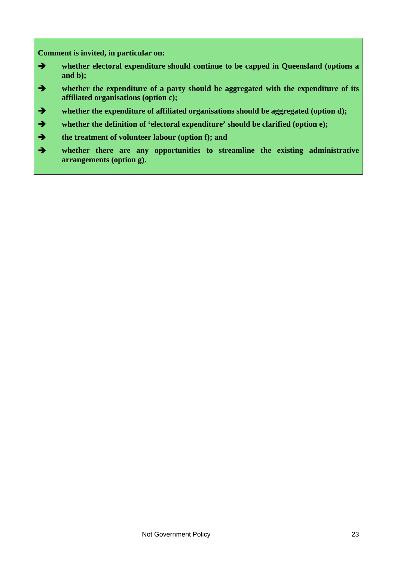**Comment is invited, in particular on:** 

- **whether electoral expenditure should continue to be capped in Queensland (options a and b);**
- **whether the expenditure of a party should be aggregated with the expenditure of its affiliated organisations (option c);**
- **whether the expenditure of affiliated organisations should be aggregated (option d);**
- **whether the definition of 'electoral expenditure' should be clarified (option e);**
- **the treatment of volunteer labour (option f); and**
- **whether there are any opportunities to streamline the existing administrative arrangements (option g).**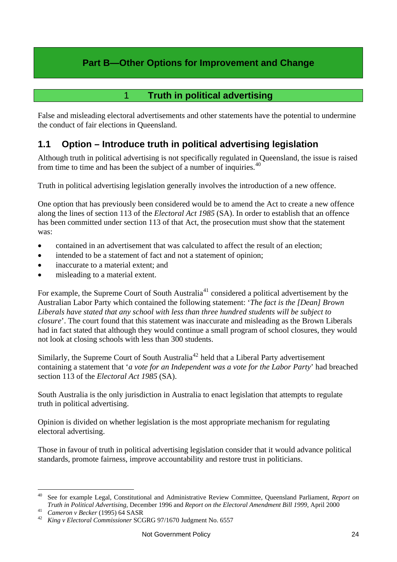## **Part B—Other Options for Improvement and Change**

### 1 **Truth in political advertising**

<span id="page-24-1"></span><span id="page-24-0"></span>False and misleading electoral advertisements and other statements have the potential to undermine the conduct of fair elections in Queensland.

## **1.1 Option – Introduce truth in political advertising legislation**

Although truth in political advertising is not specifically regulated in Queensland, the issue is raised from time to time and has been the subject of a number of inquiries.<sup>[40](#page-21-1)</sup>

Truth in political advertising legislation generally involves the introduction of a new offence.

One option that has previously been considered would be to amend the Act to create a new offence along the lines of section 113 of the *Electoral Act 1985* (SA). In order to establish that an offence has been committed under section 113 of that Act, the prosecution must show that the statement was:

- contained in an advertisement that was calculated to affect the result of an election;
- intended to be a statement of fact and not a statement of opinion;
- inaccurate to a material extent; and
- misleading to a material extent.

For example, the Supreme Court of South Australia<sup>[41](#page-24-2)</sup> considered a political advertisement by the Australian Labor Party which contained the following statement: '*The fact is the [Dean] Brown Liberals have stated that any school with less than three hundred students will be subject to closure*'. The court found that this statement was inaccurate and misleading as the Brown Liberals had in fact stated that although they would continue a small program of school closures, they would not look at closing schools with less than 300 students.

Similarly, the Supreme Court of South Australia<sup>[42](#page-24-3)</sup> held that a Liberal Party advertisement containing a statement that '*a vote for an Independent was a vote for the Labor Party*' had breached section 113 of the *Electoral Act 1985* (SA).

South Australia is the only jurisdiction in Australia to enact legislation that attempts to regulate truth in political advertising.

Opinion is divided on whether legislation is the most appropriate mechanism for regulating electoral advertising.

Those in favour of truth in political advertising legislation consider that it would advance political standards, promote fairness, improve accountability and restore trust in politicians.

<span id="page-24-4"></span><sup>40</sup> 40 See for example Legal, Constitutional and Administrative Review Committee, Queensland Parliament, *Report on*  Truth in Political Advertising, December 1996 and Report on the Electoral Amendment Bill 1999, April 2000<br>
<sup>41</sup> Cameron v Becker (1995) 64 SASR<br>
<sup>42</sup> King v Electoral Commissioner SCGRG 97/1670 Judgment No. 6557

<span id="page-24-2"></span>

<span id="page-24-3"></span>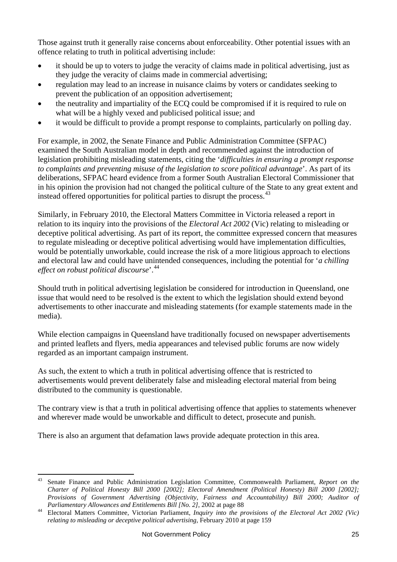Those against truth it generally raise concerns about enforceability. Other potential issues with an offence relating to truth in political advertising include:

- it should be up to voters to judge the veracity of claims made in political advertising, just as they judge the veracity of claims made in commercial advertising;
- regulation may lead to an increase in nuisance claims by voters or candidates seeking to prevent the publication of an opposition advertisement;
- the neutrality and impartiality of the ECQ could be compromised if it is required to rule on what will be a highly vexed and publicised political issue; and
- it would be difficult to provide a prompt response to complaints, particularly on polling day.

For example, in 2002, the Senate Finance and Public Administration Committee (SFPAC) examined the South Australian model in depth and recommended against the introduction of legislation prohibiting misleading statements, citing the '*difficulties in ensuring a prompt response to complaints and preventing misuse of the legislation to score political advantage*'. As part of its deliberations, SFPAC heard evidence from a former South Australian Electoral Commissioner that in his opinion the provision had not changed the political culture of the State to any great extent and instead offered opportunities for political parties to disrupt the process.  $43$ 

Similarly, in February 2010, the Electoral Matters Committee in Victoria released a report in relation to its inquiry into the provisions of the *Electoral Act 2002* (Vic) relating to misleading or deceptive political advertising. As part of its report, the committee expressed concern that measures to regulate misleading or deceptive political advertising would have implementation difficulties, would be potentially unworkable, could increase the risk of a more litigious approach to elections and electoral law and could have unintended consequences, including the potential for '*a chilling effect on robust political discourse*'.[44](#page-25-0)

Should truth in political advertising legislation be considered for introduction in Queensland, one issue that would need to be resolved is the extent to which the legislation should extend beyond advertisements to other inaccurate and misleading statements (for example statements made in the media).

While election campaigns in Queensland have traditionally focused on newspaper advertisements and printed leaflets and flyers, media appearances and televised public forums are now widely regarded as an important campaign instrument.

As such, the extent to which a truth in political advertising offence that is restricted to advertisements would prevent deliberately false and misleading electoral material from being distributed to the community is questionable.

The contrary view is that a truth in political advertising offence that applies to statements whenever and wherever made would be unworkable and difficult to detect, prosecute and punish.

There is also an argument that defamation laws provide adequate protection in this area.

 $\overline{a}$ 43 Senate Finance and Public Administration Legislation Committee, Commonwealth Parliament, *Report on the Charter of Political Honesty Bill 2000 [2002]; Electoral Amendment (Political Honesty) Bill 2000 [2002]; Provisions of Government Advertising (Objectivity, Fairness and Accountability) Bill 2000; Auditor of* 

<span id="page-25-0"></span>*Parliamentary Allowances and Entitlements Bill [No. 2]*, 2002 at page 88<br><sup>44</sup> Electoral Matters Committee, Victorian Parliament, *Inquiry into the provisions of the Electoral Act 2002 (Vic) relating to misleading or deceptive political advertising*, February 2010 at page 159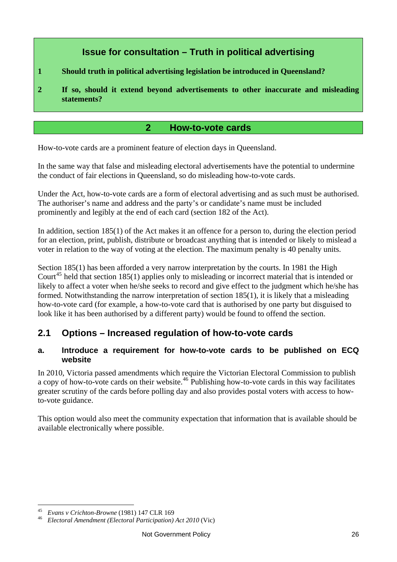## **Issue for consultation – Truth in political advertising**

- **1 Should truth in political advertising legislation be introduced in Queensland?**
- **2 If so, should it extend beyond advertisements to other inaccurate and misleading statements?**

#### **2 How-to-vote cards**

<span id="page-26-0"></span>How-to-vote cards are a prominent feature of election days in Queensland.

In the same way that false and misleading electoral advertisements have the potential to undermine the conduct of fair elections in Queensland, so do misleading how-to-vote cards.

Under the Act, how-to-vote cards are a form of electoral advertising and as such must be authorised. The authoriser's name and address and the party's or candidate's name must be included prominently and legibly at the end of each card (section 182 of the Act).

In addition, section 185(1) of the Act makes it an offence for a person to, during the election period for an election, print, publish, distribute or broadcast anything that is intended or likely to mislead a voter in relation to the way of voting at the election. The maximum penalty is 40 penalty units.

Section 185(1) has been afforded a very narrow interpretation by the courts. In 1981 the High Court<sup>[45](#page-25-0)</sup> held that section 185(1) applies only to misleading or incorrect material that is intended or likely to affect a voter when he/she seeks to record and give effect to the judgment which he/she has formed. Notwithstanding the narrow interpretation of section 185(1), it is likely that a misleading how-to-vote card (for example, a how-to-vote card that is authorised by one party but disguised to look like it has been authorised by a different party) would be found to offend the section.

## **2.1 Options – Increased regulation of how-to-vote cards**

#### **a. Introduce a requirement for how-to-vote cards to be published on ECQ website**

In 2010, Victoria passed amendments which require the Victorian Electoral Commission to publish a copy of how-to-vote cards on their website.<sup>[46](#page-26-1)</sup> Publishing how-to-vote cards in this way facilitates greater scrutiny of the cards before polling day and also provides postal voters with access to howto-vote guidance.

This option would also meet the community expectation that information that is available should be available electronically where possible.

<span id="page-26-2"></span><span id="page-26-1"></span><sup>45</sup> *Evans v Crichton-Browne* (1981) 147 CLR 169 46 *Electoral Amendment (Electoral Participation) Act 2010* (Vic)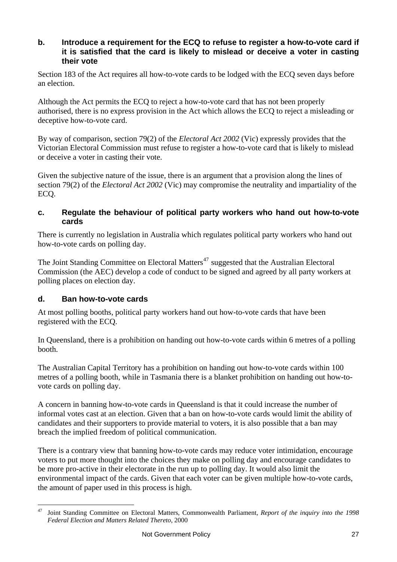#### **b. Introduce a requirement for the ECQ to refuse to register a how-to-vote card if it is satisfied that the card is likely to mislead or deceive a voter in casting their vote**

Section 183 of the Act requires all how-to-vote cards to be lodged with the ECQ seven days before an election.

Although the Act permits the ECQ to reject a how-to-vote card that has not been properly authorised, there is no express provision in the Act which allows the ECQ to reject a misleading or deceptive how-to-vote card.

By way of comparison, section 79(2) of the *Electoral Act 2002* (Vic) expressly provides that the Victorian Electoral Commission must refuse to register a how-to-vote card that is likely to mislead or deceive a voter in casting their vote.

Given the subjective nature of the issue, there is an argument that a provision along the lines of section 79(2) of the *Electoral Act 2002* (Vic) may compromise the neutrality and impartiality of the ECQ.

#### **c. Regulate the behaviour of political party workers who hand out how-to-vote cards**

There is currently no legislation in Australia which regulates political party workers who hand out how-to-vote cards on polling day.

The Joint Standing Committee on Electoral Matters<sup>[47](#page-26-2)</sup> suggested that the Australian Electoral Commission (the AEC) develop a code of conduct to be signed and agreed by all party workers at polling places on election day.

#### **d. Ban how-to-vote cards**

At most polling booths, political party workers hand out how-to-vote cards that have been registered with the ECQ.

In Queensland, there is a prohibition on handing out how-to-vote cards within 6 metres of a polling booth.

The Australian Capital Territory has a prohibition on handing out how-to-vote cards within 100 metres of a polling booth, while in Tasmania there is a blanket prohibition on handing out how-tovote cards on polling day.

A concern in banning how-to-vote cards in Queensland is that it could increase the number of informal votes cast at an election. Given that a ban on how-to-vote cards would limit the ability of candidates and their supporters to provide material to voters, it is also possible that a ban may breach the implied freedom of political communication.

There is a contrary view that banning how-to-vote cards may reduce voter intimidation, encourage voters to put more thought into the choices they make on polling day and encourage candidates to be more pro-active in their electorate in the run up to polling day. It would also limit the environmental impact of the cards. Given that each voter can be given multiple how-to-vote cards, the amount of paper used in this process is high.

<span id="page-27-0"></span><sup>47</sup> 47 Joint Standing Committee on Electoral Matters, Commonwealth Parliament, *Report of the inquiry into the 1998 Federal Election and Matters Related Thereto*, 2000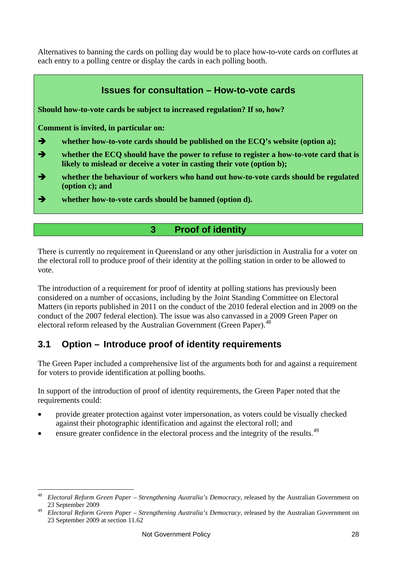Alternatives to banning the cards on polling day would be to place how-to-vote cards on corflutes at each entry to a polling centre or display the cards in each polling booth.



<span id="page-28-0"></span>There is currently no requirement in Queensland or any other jurisdiction in Australia for a voter on the electoral roll to produce proof of their identity at the polling station in order to be allowed to vote.

The introduction of a requirement for proof of identity at polling stations has previously been considered on a number of occasions, including by the Joint Standing Committee on Electoral Matters (in reports published in 2011 on the conduct of the 2010 federal election and in 2009 on the conduct of the 2007 federal election). The issue was also canvassed in a 2009 Green Paper on electoral reform released by the Australian Government (Green Paper).<sup>[48](#page-27-0)</sup>

## **3.1 Option – Introduce proof of identity requirements**

The Green Paper included a comprehensive list of the arguments both for and against a requirement for voters to provide identification at polling booths.

In support of the introduction of proof of identity requirements, the Green Paper noted that the requirements could:

- provide greater protection against voter impersonation, as voters could be visually checked against their photographic identification and against the electoral roll; and
- ensure greater confidence in the electoral process and the integrity of the results.<sup>[49](#page-28-1)</sup>

<span id="page-28-2"></span><sup>48</sup> <sup>48</sup> *Electoral Reform Green Paper – Strengthening Australia's Democracy*, released by the Australian Government on 23 September 2009

<span id="page-28-1"></span><sup>49</sup> *Electoral Reform Green Paper – Strengthening Australia's Democracy*, released by the Australian Government on 23 September 2009 at section 11.62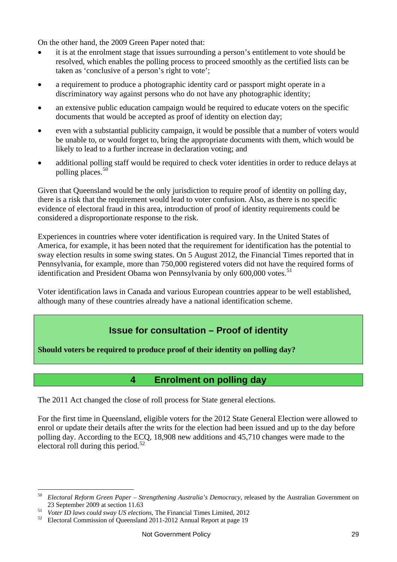On the other hand, the 2009 Green Paper noted that:

- it is at the enrolment stage that issues surrounding a person's entitlement to vote should be resolved, which enables the polling process to proceed smoothly as the certified lists can be taken as 'conclusive of a person's right to vote';
- a requirement to produce a photographic identity card or passport might operate in a discriminatory way against persons who do not have any photographic identity;
- an extensive public education campaign would be required to educate voters on the specific documents that would be accepted as proof of identity on election day;
- even with a substantial publicity campaign, it would be possible that a number of voters would be unable to, or would forget to, bring the appropriate documents with them, which would be likely to lead to a further increase in declaration voting; and
- additional polling staff would be required to check voter identities in order to reduce delays at polling places.<sup>[50](#page-28-2)</sup>

Given that Queensland would be the only jurisdiction to require proof of identity on polling day, there is a risk that the requirement would lead to voter confusion. Also, as there is no specific evidence of electoral fraud in this area, introduction of proof of identity requirements could be considered a disproportionate response to the risk.

Experiences in countries where voter identification is required vary. In the United States of America, for example, it has been noted that the requirement for identification has the potential to sway election results in some swing states. On 5 August 2012, the Financial Times reported that in Pennsylvania, for example, more than 750,000 registered voters did not have the required forms of identification and President Obama won Pennsylvania by only  $600,000$  votes.<sup>[51](#page-29-1)</sup>

Voter identification laws in Canada and various European countries appear to be well established, although many of these countries already have a national identification scheme.

## **Issue for consultation – Proof of identity**

**Should voters be required to produce proof of their identity on polling day?** 

## **4 Enrolment on polling day**

<span id="page-29-0"></span>The 2011 Act changed the close of roll process for State general elections.

For the first time in Queensland, eligible voters for the 2012 State General Election were allowed to enrol or update their details after the writs for the election had been issued and up to the day before polling day. According to the ECQ, 18,908 new additions and 45,710 changes were made to the electoral roll during this period.<sup>[52](#page-29-2)</sup>

<sup>50</sup> <sup>50</sup> *Electoral Reform Green Paper – Strengthening Australia's Democracy*, released by the Australian Government on

<span id="page-29-3"></span><span id="page-29-1"></span><sup>&</sup>lt;sup>51</sup> *Voter ID laws could sway US elections*, The Financial Times Limited, 2012<br><sup>52</sup> Electoral Commission of Queensland 2011-2012 Annual Report at page 19

<span id="page-29-2"></span>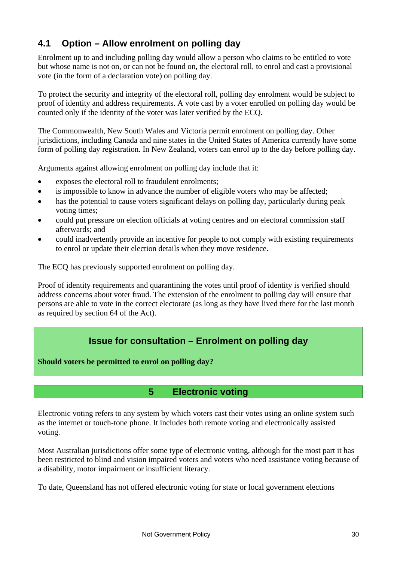## **4.1 Option – Allow enrolment on polling day**

Enrolment up to and including polling day would allow a person who claims to be entitled to vote but whose name is not on, or can not be found on, the electoral roll, to enrol and cast a provisional vote (in the form of a declaration vote) on polling day.

To protect the security and integrity of the electoral roll, polling day enrolment would be subject to proof of identity and address requirements. A vote cast by a voter enrolled on polling day would be counted only if the identity of the voter was later verified by the ECQ.

The Commonwealth, New South Wales and Victoria permit enrolment on polling day. Other jurisdictions, including Canada and nine states in the United States of America currently have some form of polling day registration. In New Zealand, voters can enrol up to the day before polling day.

Arguments against allowing enrolment on polling day include that it:

- exposes the electoral roll to fraudulent enrolments;
- is impossible to know in advance the number of eligible voters who may be affected;
- has the potential to cause voters significant delays on polling day, particularly during peak voting times;
- could put pressure on election officials at voting centres and on electoral commission staff afterwards; and
- could inadvertently provide an incentive for people to not comply with existing requirements to enrol or update their election details when they move residence.

The ECQ has previously supported enrolment on polling day.

Proof of identity requirements and quarantining the votes until proof of identity is verified should address concerns about voter fraud. The extension of the enrolment to polling day will ensure that persons are able to vote in the correct electorate (as long as they have lived there for the last month as required by section 64 of the Act).

### **Issue for consultation – Enrolment on polling day**

**Should voters be permitted to enrol on polling day?** 

#### **5 Electronic voting**

<span id="page-30-0"></span>Electronic voting refers to any system by which voters cast their votes using an online system such as the internet or touch-tone phone. It includes both remote voting and electronically assisted voting.

Most Australian jurisdictions offer some type of electronic voting, although for the most part it has been restricted to blind and vision impaired voters and voters who need assistance voting because of a disability, motor impairment or insufficient literacy.

To date, Queensland has not offered electronic voting for state or local government elections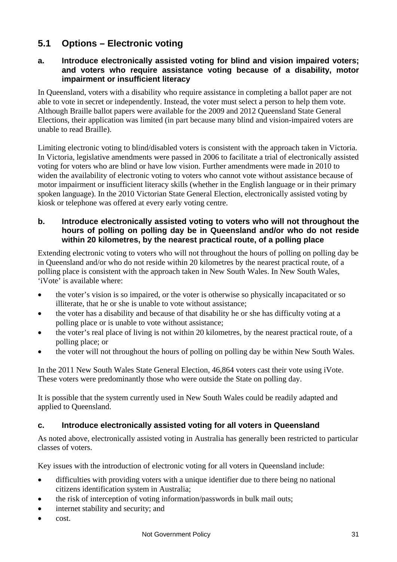## **5.1 Options – Electronic voting**

#### **a. Introduce electronically assisted voting for blind and vision impaired voters; and voters who require assistance voting because of a disability, motor impairment or insufficient literacy**

In Queensland, voters with a disability who require assistance in completing a ballot paper are not able to vote in secret or independently. Instead, the voter must select a person to help them vote. Although Braille ballot papers were available for the 2009 and 2012 Queensland State General Elections, their application was limited (in part because many blind and vision-impaired voters are unable to read Braille).

Limiting electronic voting to blind/disabled voters is consistent with the approach taken in Victoria. In Victoria, legislative amendments were passed in 2006 to facilitate a trial of electronically assisted voting for voters who are blind or have low vision. Further amendments were made in 2010 to widen the availability of electronic voting to voters who cannot vote without assistance because of motor impairment or insufficient literacy skills (whether in the English language or in their primary spoken language). In the 2010 Victorian State General Election, electronically assisted voting by kiosk or telephone was offered at every early voting centre.

#### **b. Introduce electronically assisted voting to voters who will not throughout the hours of polling on polling day be in Queensland and/or who do not reside within 20 kilometres, by the nearest practical route, of a polling place**

Extending electronic voting to voters who will not throughout the hours of polling on polling day be in Queensland and/or who do not reside within 20 kilometres by the nearest practical route, of a polling place is consistent with the approach taken in New South Wales. In New South Wales, 'iVote' is available where:

- the voter's vision is so impaired, or the voter is otherwise so physically incapacitated or so illiterate, that he or she is unable to vote without assistance;
- the voter has a disability and because of that disability he or she has difficulty voting at a polling place or is unable to vote without assistance;
- the voter's real place of living is not within 20 kilometres, by the nearest practical route, of a polling place; or
- the voter will not throughout the hours of polling on polling day be within New South Wales.

In the 2011 New South Wales State General Election, 46,864 voters cast their vote using iVote. These voters were predominantly those who were outside the State on polling day.

It is possible that the system currently used in New South Wales could be readily adapted and applied to Queensland.

#### **c. Introduce electronically assisted voting for all voters in Queensland**

As noted above, electronically assisted voting in Australia has generally been restricted to particular classes of voters.

Key issues with the introduction of electronic voting for all voters in Queensland include:

- difficulties with providing voters with a unique identifier due to there being no national citizens identification system in Australia;
- the risk of interception of voting information/passwords in bulk mail outs;
- internet stability and security; and
- cost.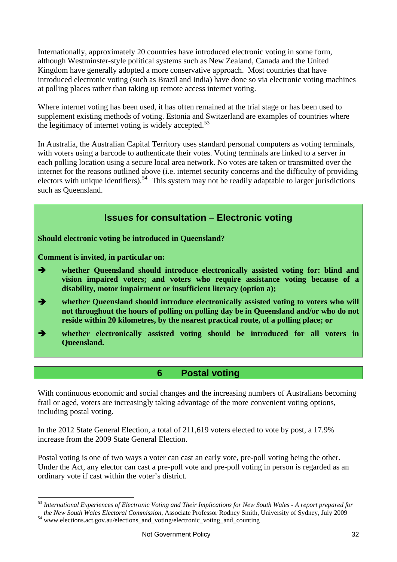Internationally, approximately 20 countries have introduced electronic voting in some form, although Westminster-style political systems such as New Zealand, Canada and the United Kingdom have generally adopted a more conservative approach. Most countries that have introduced electronic voting (such as Brazil and India) have done so via electronic voting machines at polling places rather than taking up remote access internet voting.

Where internet voting has been used, it has often remained at the trial stage or has been used to supplement existing methods of voting. Estonia and Switzerland are examples of countries where the legitimacy of internet voting is widely accepted. $53$ 

In Australia, the Australian Capital Territory uses standard personal computers as voting terminals, with voters using a barcode to authenticate their votes. Voting terminals are linked to a server in each polling location using a secure local area network. No votes are taken or transmitted over the internet for the reasons outlined above (i.e. internet security concerns and the difficulty of providing electors with unique identifiers).<sup>[54](#page-32-1)</sup> This system may not be readily adaptable to larger jurisdictions such as Queensland.



#### **6 Postal voting**

<span id="page-32-0"></span>With continuous economic and social changes and the increasing numbers of Australians becoming frail or aged, voters are increasingly taking advantage of the more convenient voting options, including postal voting.

In the 2012 State General Election, a total of 211,619 voters elected to vote by post, a 17.9% increase from the 2009 State General Election.

Postal voting is one of two ways a voter can cast an early vote, pre-poll voting being the other. Under the Act, any elector can cast a pre-poll vote and pre-poll voting in person is regarded as an ordinary vote if cast within the voter's district.

<span id="page-32-2"></span><sup>53</sup> *International Experiences of Electronic Voting and Their Implications for New South Wales - A report prepared for the New South Wales Electoral Commission*, Associate Professor Rodney Smith, University of Sydney, July 2009<sup>54</sup> www.elections.act.gov.au/elections\_and\_voting/electronic\_voting\_and\_counting

<span id="page-32-1"></span>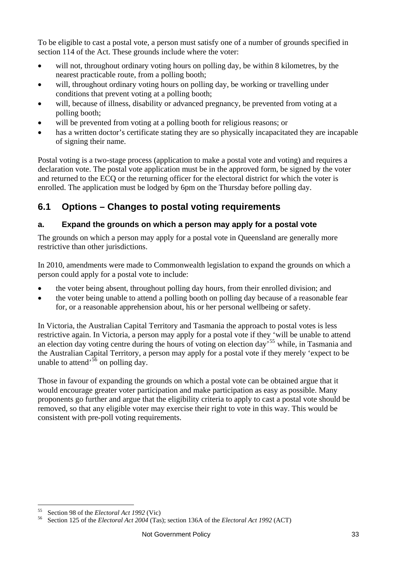To be eligible to cast a postal vote, a person must satisfy one of a number of grounds specified in section 114 of the Act. These grounds include where the voter:

- will not, throughout ordinary voting hours on polling day, be within 8 kilometres, by the nearest practicable route, from a polling booth;
- will, throughout ordinary voting hours on polling day, be working or travelling under conditions that prevent voting at a polling booth;
- will, because of illness, disability or advanced pregnancy, be prevented from voting at a polling booth;
- will be prevented from voting at a polling booth for religious reasons; or
- has a written doctor's certificate stating they are so physically incapacitated they are incapable of signing their name.

Postal voting is a two-stage process (application to make a postal vote and voting) and requires a declaration vote. The postal vote application must be in the approved form, be signed by the voter and returned to the ECQ or the returning officer for the electoral district for which the voter is enrolled. The application must be lodged by 6pm on the Thursday before polling day.

## **6.1 Options – Changes to postal voting requirements**

#### **a. Expand the grounds on which a person may apply for a postal vote**

The grounds on which a person may apply for a postal vote in Queensland are generally more restrictive than other jurisdictions.

In 2010, amendments were made to Commonwealth legislation to expand the grounds on which a person could apply for a postal vote to include:

- the voter being absent, throughout polling day hours, from their enrolled division; and
- the voter being unable to attend a polling booth on polling day because of a reasonable fear for, or a reasonable apprehension about, his or her personal wellbeing or safety.

In Victoria, the Australian Capital Territory and Tasmania the approach to postal votes is less restrictive again. In Victoria, a person may apply for a postal vote if they 'will be unable to attend an election day voting centre during the hours of voting on election day'[55](#page-32-2) while, in Tasmania and the Australian Capital Territory, a person may apply for a postal vote if they merely 'expect to be unable to attend<sup>[56](#page-33-0)</sup> on polling day.

Those in favour of expanding the grounds on which a postal vote can be obtained argue that it would encourage greater voter participation and make participation as easy as possible. Many proponents go further and argue that the eligibility criteria to apply to cast a postal vote should be removed, so that any eligible voter may exercise their right to vote in this way. This would be consistent with pre-poll voting requirements.

<span id="page-33-1"></span><span id="page-33-0"></span><sup>55</sup> Section 98 of the *Electoral Act 1992* (Vic) 56 Section 125 of the *Electoral Act 2004* (Tas); section 136A of the *Electoral Act 1992* (ACT)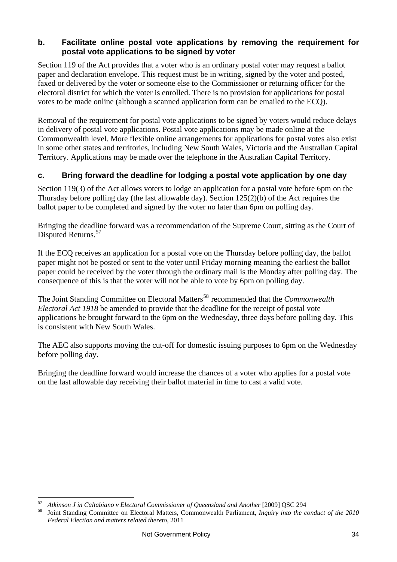#### **b. Facilitate online postal vote applications by removing the requirement for postal vote applications to be signed by voter**

Section 119 of the Act provides that a voter who is an ordinary postal voter may request a ballot paper and declaration envelope. This request must be in writing, signed by the voter and posted, faxed or delivered by the voter or someone else to the Commissioner or returning officer for the electoral district for which the voter is enrolled. There is no provision for applications for postal votes to be made online (although a scanned application form can be emailed to the ECQ).

Removal of the requirement for postal vote applications to be signed by voters would reduce delays in delivery of postal vote applications. Postal vote applications may be made online at the Commonwealth level. More flexible online arrangements for applications for postal votes also exist in some other states and territories, including New South Wales, Victoria and the Australian Capital Territory. Applications may be made over the telephone in the Australian Capital Territory.

#### **c. Bring forward the deadline for lodging a postal vote application by one day**

Section 119(3) of the Act allows voters to lodge an application for a postal vote before 6pm on the Thursday before polling day (the last allowable day). Section 125(2)(b) of the Act requires the ballot paper to be completed and signed by the voter no later than 6pm on polling day.

Bringing the deadline forward was a recommendation of the Supreme Court, sitting as the Court of Disputed Returns.<sup>[57](#page-33-1)</sup>

If the ECQ receives an application for a postal vote on the Thursday before polling day, the ballot paper might not be posted or sent to the voter until Friday morning meaning the earliest the ballot paper could be received by the voter through the ordinary mail is the Monday after polling day. The consequence of this is that the voter will not be able to vote by 6pm on polling day.

The Joint Standing Committee on Electoral Matters<sup>[58](#page-34-0)</sup> recommended that the *Commonwealth Electoral Act 1918* be amended to provide that the deadline for the receipt of postal vote applications be brought forward to the 6pm on the Wednesday, three days before polling day. This is consistent with New South Wales.

The AEC also supports moving the cut-off for domestic issuing purposes to 6pm on the Wednesday before polling day.

Bringing the deadline forward would increase the chances of a voter who applies for a postal vote on the last allowable day receiving their ballot material in time to cast a valid vote.

<span id="page-34-1"></span><span id="page-34-0"></span> $57$ 

Atkinson J in Caltabiano v Electoral Commissioner of Queensland and Another [2009] QSC 294<br>Joint Standing Committee on Electoral Matters, Commonwealth Parliament, *Inquiry into the conduct of the 2010 Federal Election and matters related thereto*, 2011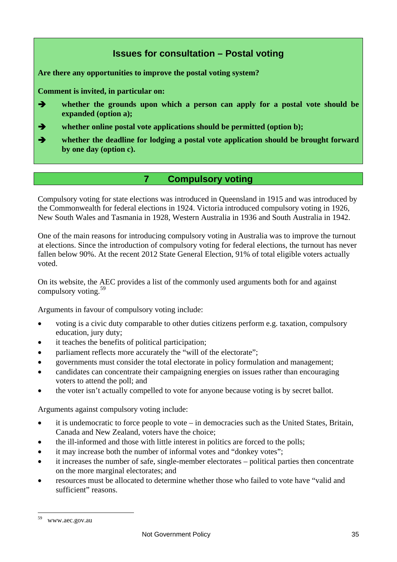## **Issues for consultation – Postal voting**

**Are there any opportunities to improve the postal voting system?** 

**Comment is invited, in particular on:** 

- **whether the grounds upon which a person can apply for a postal vote should be expanded (option a);**
- **whether online postal vote applications should be permitted (option b);**
- **whether the deadline for lodging a postal vote application should be brought forward by one day (option c).**

#### **7 Compulsory voting**

<span id="page-35-0"></span>Compulsory voting for state elections was introduced in Queensland in 1915 and was introduced by the Commonwealth for federal elections in 1924. Victoria introduced compulsory voting in 1926, New South Wales and Tasmania in 1928, Western Australia in 1936 and South Australia in 1942.

One of the main reasons for introducing compulsory voting in Australia was to improve the turnout at elections. Since the introduction of compulsory voting for federal elections, the turnout has never fallen below 90%. At the recent 2012 State General Election, 91% of total eligible voters actually voted.

On its website, the AEC provides a list of the commonly used arguments both for and against compulsory voting.  $59$ 

Arguments in favour of compulsory voting include:

- voting is a civic duty comparable to other duties citizens perform e.g. taxation, compulsory education, jury duty;
- it teaches the benefits of political participation;
- parliament reflects more accurately the "will of the electorate";
- governments must consider the total electorate in policy formulation and management;
- candidates can concentrate their campaigning energies on issues rather than encouraging voters to attend the poll; and
- the voter isn't actually compelled to vote for anyone because voting is by secret ballot.

Arguments against compulsory voting include:

- it is undemocratic to force people to vote in democracies such as the United States, Britain, Canada and New Zealand, voters have the choice;
- the ill-informed and those with little interest in politics are forced to the polls;
- it may increase both the number of informal votes and "donkey votes";
- it increases the number of safe, single-member electorates political parties then concentrate on the more marginal electorates; and
- resources must be allocated to determine whether those who failed to vote have "valid and sufficient" reasons.

<span id="page-35-1"></span><sup>&</sup>lt;sup>59</sup> www.aec.gov.au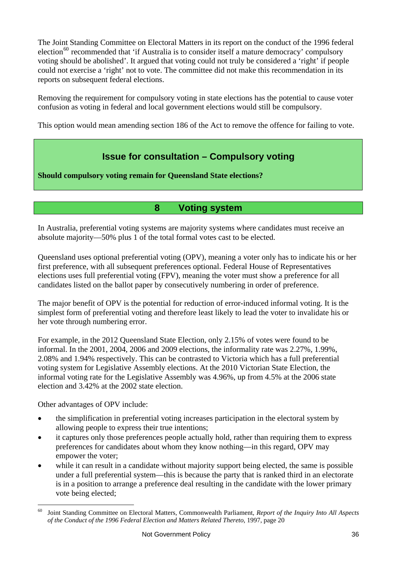The Joint Standing Committee on Electoral Matters in its report on the conduct of the 1996 federal election<sup>[60](#page-35-1)</sup> recommended that 'if Australia is to consider itself a mature democracy' compulsory voting should be abolished'. It argued that voting could not truly be considered a 'right' if people could not exercise a 'right' not to vote. The committee did not make this recommendation in its reports on subsequent federal elections.

Removing the requirement for compulsory voting in state elections has the potential to cause voter confusion as voting in federal and local government elections would still be compulsory.

This option would mean amending section 186 of the Act to remove the offence for failing to vote.

## **Issue for consultation – Compulsory voting**

**Should compulsory voting remain for Queensland State elections?** 

## **8 Voting system**

<span id="page-36-0"></span>In Australia, preferential voting systems are majority systems where candidates must receive an absolute majority—50% plus 1 of the total formal votes cast to be elected.

Queensland uses optional preferential voting (OPV), meaning a voter only has to indicate his or her first preference, with all subsequent preferences optional. Federal House of Representatives elections uses full preferential voting (FPV), meaning the voter must show a preference for all candidates listed on the ballot paper by consecutively numbering in order of preference.

The major benefit of OPV is the potential for reduction of error-induced informal voting. It is the simplest form of preferential voting and therefore least likely to lead the voter to invalidate his or her vote through numbering error.

For example, in the 2012 Queensland State Election, only 2.15% of votes were found to be informal. In the 2001, 2004, 2006 and 2009 elections, the informality rate was 2.27%, 1.99%, 2.08% and 1.94% respectively. This can be contrasted to Victoria which has a full preferential voting system for Legislative Assembly elections. At the 2010 Victorian State Election, the informal voting rate for the Legislative Assembly was 4.96%, up from 4.5% at the 2006 state election and 3.42% at the 2002 state election.

Other advantages of OPV include:

- the simplification in preferential voting increases participation in the electoral system by allowing people to express their true intentions;
- it captures only those preferences people actually hold, rather than requiring them to express preferences for candidates about whom they know nothing—in this regard, OPV may empower the voter;
- while it can result in a candidate without majority support being elected, the same is possible under a full preferential system—this is because the party that is ranked third in an electorate is in a position to arrange a preference deal resulting in the candidate with the lower primary vote being elected;

<span id="page-36-1"></span> $\overline{a}$ 60 Joint Standing Committee on Electoral Matters, Commonwealth Parliament, *Report of the Inquiry Into All Aspects of the Conduct of the 1996 Federal Election and Matters Related Thereto*, 1997, page 20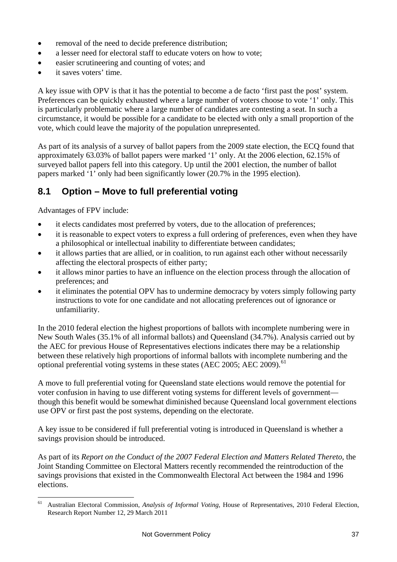- removal of the need to decide preference distribution;
- a lesser need for electoral staff to educate voters on how to vote;
- easier scrutineering and counting of votes; and
- it saves voters' time.

A key issue with OPV is that it has the potential to become a de facto 'first past the post' system. Preferences can be quickly exhausted where a large number of voters choose to vote '1' only. This is particularly problematic where a large number of candidates are contesting a seat. In such a circumstance, it would be possible for a candidate to be elected with only a small proportion of the vote, which could leave the majority of the population unrepresented.

As part of its analysis of a survey of ballot papers from the 2009 state election, the ECQ found that approximately 63.03% of ballot papers were marked '1' only. At the 2006 election, 62.15% of surveyed ballot papers fell into this category. Up until the 2001 election, the number of ballot papers marked '1' only had been significantly lower (20.7% in the 1995 election).

## **8.1 Option – Move to full preferential voting**

Advantages of FPV include:

- it elects candidates most preferred by voters, due to the allocation of preferences;
- it is reasonable to expect voters to express a full ordering of preferences, even when they have a philosophical or intellectual inability to differentiate between candidates;
- it allows parties that are allied, or in coalition, to run against each other without necessarily affecting the electoral prospects of either party;
- it allows minor parties to have an influence on the election process through the allocation of preferences; and
- it eliminates the potential OPV has to undermine democracy by voters simply following party instructions to vote for one candidate and not allocating preferences out of ignorance or unfamiliarity.

In the 2010 federal election the highest proportions of ballots with incomplete numbering were in New South Wales (35.1% of all informal ballots) and Queensland (34.7%). Analysis carried out by the AEC for previous House of Representatives elections indicates there may be a relationship between these relatively high proportions of informal ballots with incomplete numbering and the optional preferential voting systems in these states (AEC 2005; AEC 2009).<sup>[61](#page-36-1)</sup>

A move to full preferential voting for Queensland state elections would remove the potential for voter confusion in having to use different voting systems for different levels of government though this benefit would be somewhat diminished because Queensland local government elections use OPV or first past the post systems, depending on the electorate.

A key issue to be considered if full preferential voting is introduced in Queensland is whether a savings provision should be introduced.

As part of its *Report on the Conduct of the 2007 Federal Election and Matters Related Thereto*, the Joint Standing Committee on Electoral Matters recently recommended the reintroduction of the savings provisions that existed in the Commonwealth Electoral Act between the 1984 and 1996 elections.

 $61$ 61 Australian Electoral Commission, *Analysis of Informal Voting*, House of Representatives, 2010 Federal Election, Research Report Number 12, 29 March 2011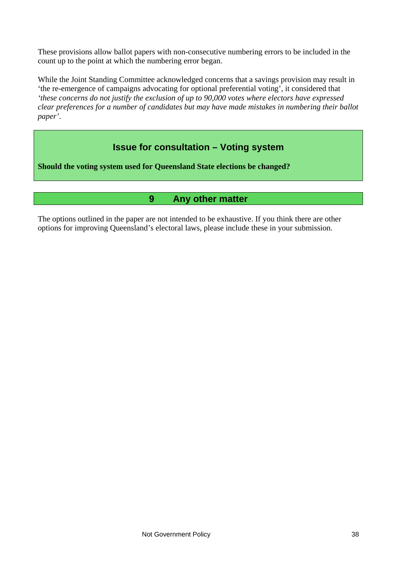These provisions allow ballot papers with non-consecutive numbering errors to be included in the count up to the point at which the numbering error began.

While the Joint Standing Committee acknowledged concerns that a savings provision may result in 'the re-emergence of campaigns advocating for optional preferential voting', it considered that *'these concerns do not justify the exclusion of up to 90,000 votes where electors have expressed clear preferences for a number of candidates but may have made mistakes in numbering their ballot paper'*.

## **Issue for consultation – Voting system**

**Should the voting system used for Queensland State elections be changed?** 

#### **9 Any other matter**

<span id="page-38-0"></span>The options outlined in the paper are not intended to be exhaustive. If you think there are other options for improving Queensland's electoral laws, please include these in your submission.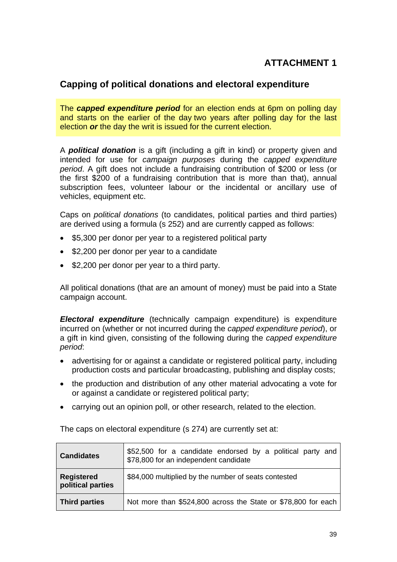## **ATTACHMENT 1**

#### **Capping of political donations and electoral expenditure**

The *capped expenditure period* for an election ends at 6pm on polling day and starts on the earlier of the day two years after polling day for the last election *or* the day the writ is issued for the current election.

A *political donation* is a gift (including a gift in kind) or property given and intended for use for *campaign purposes* during the *capped expenditure period*. A gift does not include a fundraising contribution of \$200 or less (or the first \$200 of a fundraising contribution that is more than that), annual subscription fees, volunteer labour or the incidental or ancillary use of vehicles, equipment etc.

Caps on *political donations* (to candidates, political parties and third parties) are derived using a formula (s 252) and are currently capped as follows:

- \$5,300 per donor per year to a registered political party
- \$2,200 per donor per year to a candidate
- $\bullet$  \$2,200 per donor per year to a third party.

All political donations (that are an amount of money) must be paid into a State campaign account.

*Electoral expenditure* (technically campaign expenditure) is expenditure incurred on (whether or not incurred during the *capped expenditure period*), or a gift in kind given, consisting of the following during the *capped expenditure period*:

- advertising for or against a candidate or registered political party, including production costs and particular broadcasting, publishing and display costs;
- the production and distribution of any other material advocating a vote for or against a candidate or registered political party;
- carrying out an opinion poll, or other research, related to the election.

| <b>Candidates</b>                      | \$52,500 for a candidate endorsed by a political party and<br>\$78,800 for an independent candidate |
|----------------------------------------|-----------------------------------------------------------------------------------------------------|
| <b>Registered</b><br>political parties | \$84,000 multiplied by the number of seats contested                                                |
| Third parties                          | Not more than \$524,800 across the State or \$78,800 for each                                       |

The caps on electoral expenditure (s 274) are currently set at: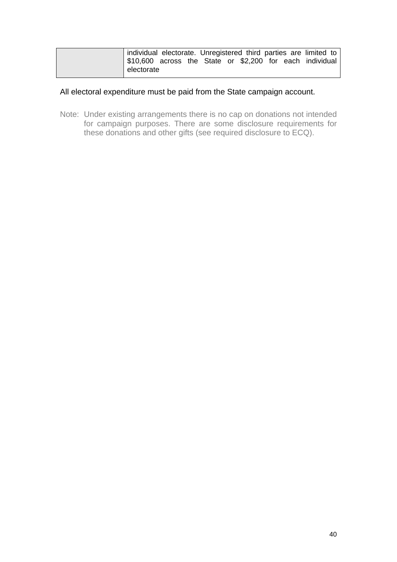|            |  |  |  | individual electorate. Unregistered third parties are limited to |
|------------|--|--|--|------------------------------------------------------------------|
|            |  |  |  | S10,600 across the State or \$2,200 for each individual          |
| electorate |  |  |  |                                                                  |

#### All electoral expenditure must be paid from the State campaign account.

Note: Under existing arrangements there is no cap on donations not intended for campaign purposes. There are some disclosure requirements for these donations and other gifts (see required disclosure to ECQ).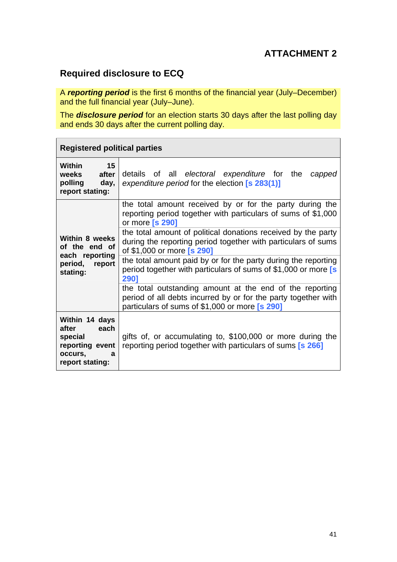## **ATTACHMENT 2**

## **Required disclosure to ECQ**

A *reporting period* is the first 6 months of the financial year (July–December) and the full financial year (July–June).

The *disclosure period* for an election starts 30 days after the last polling day and ends 30 days after the current polling day.

| <b>Registered political parties</b>                                                              |                                                                                                                                                                              |
|--------------------------------------------------------------------------------------------------|------------------------------------------------------------------------------------------------------------------------------------------------------------------------------|
| 15<br>Within<br>after<br>weeks<br>polling<br>day,<br>report stating:                             | details of all electoral expenditure for the<br>capped<br>expenditure period for the election [s 283(1)]                                                                     |
| Within 8 weeks<br>of the end of<br>each reporting<br>period,<br>report<br>stating:               | the total amount received by or for the party during the<br>reporting period together with particulars of sums of \$1,000<br>or more [s 290]                                 |
|                                                                                                  | the total amount of political donations received by the party<br>during the reporting period together with particulars of sums<br>of \$1,000 or more [s 290]                 |
|                                                                                                  | the total amount paid by or for the party during the reporting<br>period together with particulars of sums of \$1,000 or more [s<br>2901                                     |
|                                                                                                  | the total outstanding amount at the end of the reporting<br>period of all debts incurred by or for the party together with<br>particulars of sums of \$1,000 or more [s 290] |
| Within 14 days<br>each<br>after<br>special<br>reporting event<br>occurs,<br>a<br>report stating: | gifts of, or accumulating to, \$100,000 or more during the<br>reporting period together with particulars of sums [s 266]                                                     |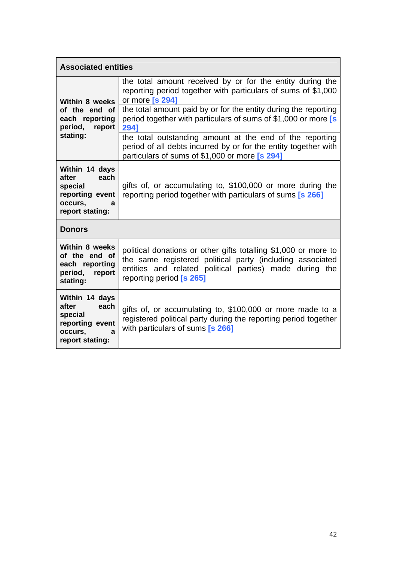| <b>Associated entities</b>                                                                       |                                                                                                                                                                                                                                                                                                                                                        |  |
|--------------------------------------------------------------------------------------------------|--------------------------------------------------------------------------------------------------------------------------------------------------------------------------------------------------------------------------------------------------------------------------------------------------------------------------------------------------------|--|
| Within 8 weeks<br>of the end of<br>each reporting<br>period, report<br>stating:                  | the total amount received by or for the entity during the<br>reporting period together with particulars of sums of \$1,000<br>or more [s 294]<br>the total amount paid by or for the entity during the reporting<br>period together with particulars of sums of \$1,000 or more [s<br>2941<br>the total outstanding amount at the end of the reporting |  |
|                                                                                                  | period of all debts incurred by or for the entity together with<br>particulars of sums of \$1,000 or more [s 294]                                                                                                                                                                                                                                      |  |
| Within 14 days<br>each<br>after<br>special<br>reporting event<br>occurs,<br>a<br>report stating: | gifts of, or accumulating to, \$100,000 or more during the<br>reporting period together with particulars of sums [s 266]                                                                                                                                                                                                                               |  |
| <b>Donors</b>                                                                                    |                                                                                                                                                                                                                                                                                                                                                        |  |
| Within 8 weeks<br>of the end of<br>each reporting<br>period,<br>report<br>stating:               | political donations or other gifts totalling \$1,000 or more to<br>the same registered political party (including associated<br>entities and related political parties) made during the<br>reporting period [s 265]                                                                                                                                    |  |
| Within 14 days<br>after<br>each<br>special<br>reporting event<br>occurs,<br>a<br>report stating: | gifts of, or accumulating to, \$100,000 or more made to a<br>registered political party during the reporting period together<br>with particulars of sums [s 266]                                                                                                                                                                                       |  |